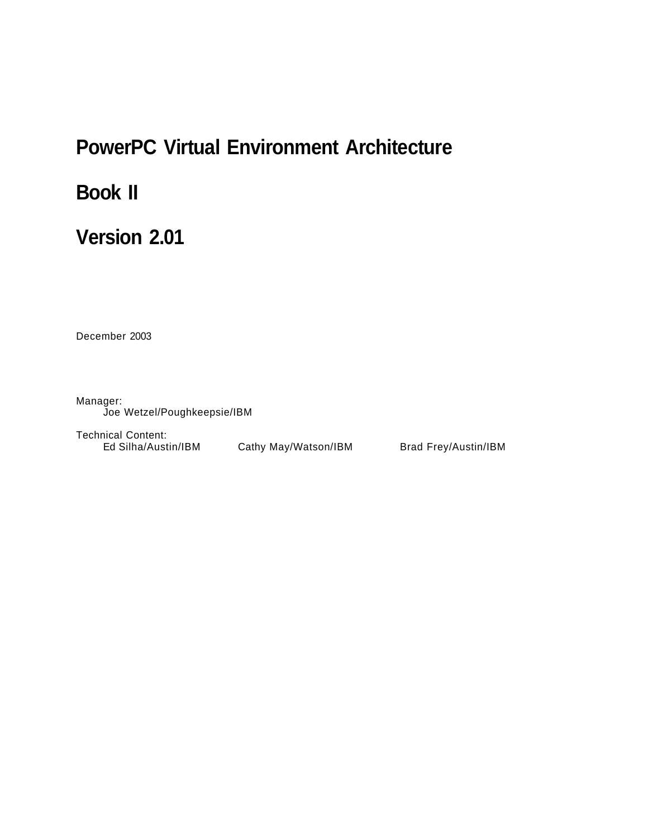# **PowerPC Virtual Environment Architecture**

# **Book II**

# **Version 2.01**

December 2003

Manager: Joe Wetzel/Poughkeepsie/IBM

Technical Content: Ed Silha/Austin/IBM Cathy May/Watson/IBM Brad Frey/Austin/IBM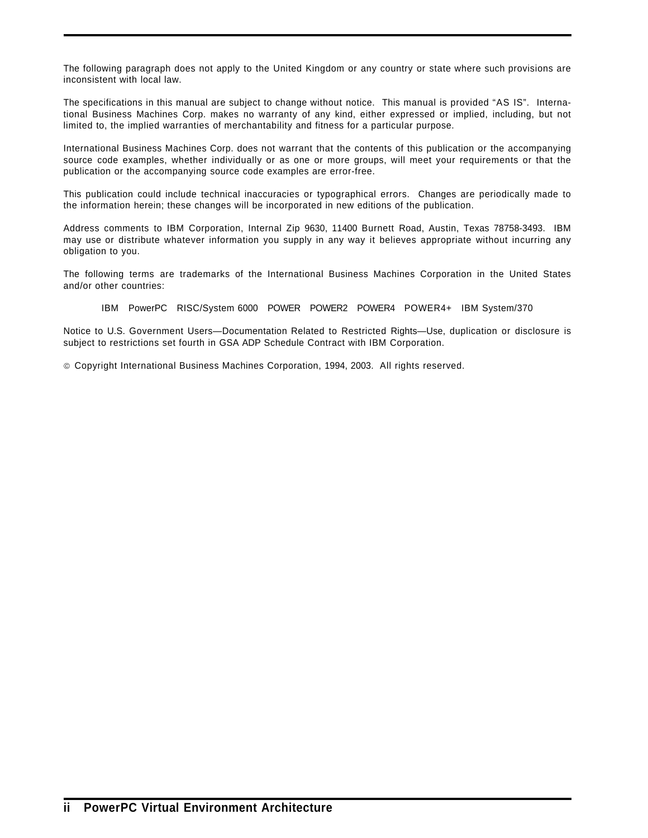The following paragraph does not apply to the United Kingdom or any country or state where such provisions are inconsistent with local law.

The specifications in this manual are subject to change without notice. This manual is provided "AS IS". International Business Machines Corp. makes no warranty of any kind, either expressed or implied, including, but not limited to, the implied warranties of merchantability and fitness for a particular purpose.

International Business Machines Corp. does not warrant that the contents of this publication or the accompanying source code examples, whether individually or as one or more groups, will meet your requirements or that the publication or the accompanying source code examples are error-free.

This publication could include technical inaccuracies or typographical errors. Changes are periodically made to the information herein; these changes will be incorporated in new editions of the publication.

Address comments to IBM Corporation, Internal Zip 9630, 11400 Burnett Road, Austin, Texas 78758-3493. IBM may use or distribute whatever information you supply in any way it believes appropriate without incurring any obligation to you.

The following terms are trademarks of the International Business Machines Corporation in the United States and/or other countries:

IBM PowerPC RISC/System 6000 POWER POWER2 POWER4 POWER4+ IBM System/370

Notice to U.S. Government Users—Documentation Related to Restricted Rights—Use, duplication or disclosure is subject to restrictions set fourth in GSA ADP Schedule Contract with IBM Corporation.

Copyright International Business Machines Corporation, 1994, 2003. All rights reserved.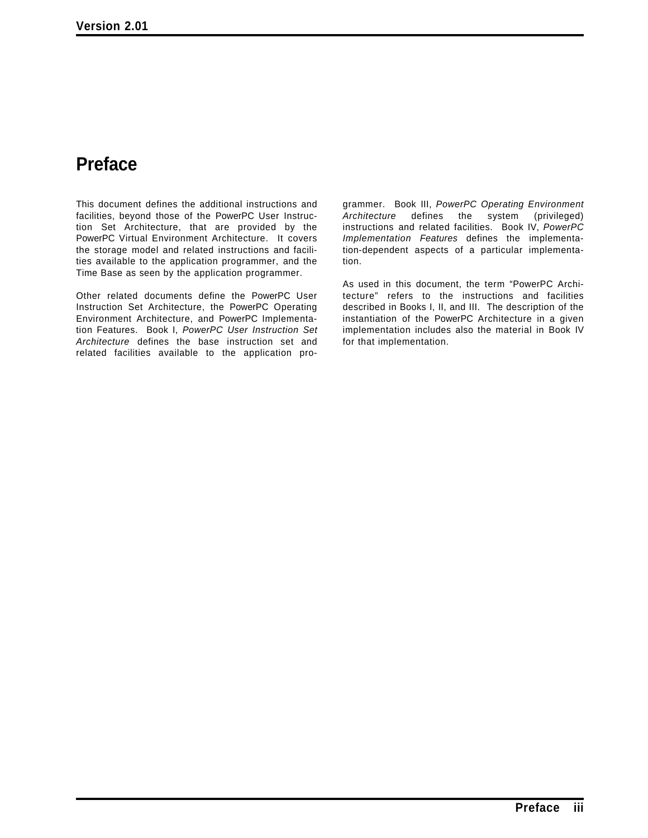# **Preface**

This document defines the additional instructions and facilities, beyond those of the PowerPC User Instruction Set Architecture, that are provided by the PowerPC Virtual Environment Architecture. It covers the storage model and related instructions and facilities available to the application programmer, and the Time Base as seen by the application programmer.

Other related documents define the PowerPC User Instruction Set Architecture, the PowerPC Operating Environment Architecture, and PowerPC Implementation Features. Book I, *PowerPC User Instruction Set Architecture* defines the base instruction set and related facilities available to the application pro-

grammer. Book III, *PowerPC Operating Environment Architecture* defines the system (privileged) instructions and related facilities. Book IV, *PowerPC Implementation Features* defines the implementation-dependent aspects of a particular implementation.

As used in this document, the term "PowerPC Architecture" refers to the instructions and facilities described in Books I, II, and III. The description of the instantiation of the PowerPC Architecture in a given implementation includes also the material in Book IV for that implementation.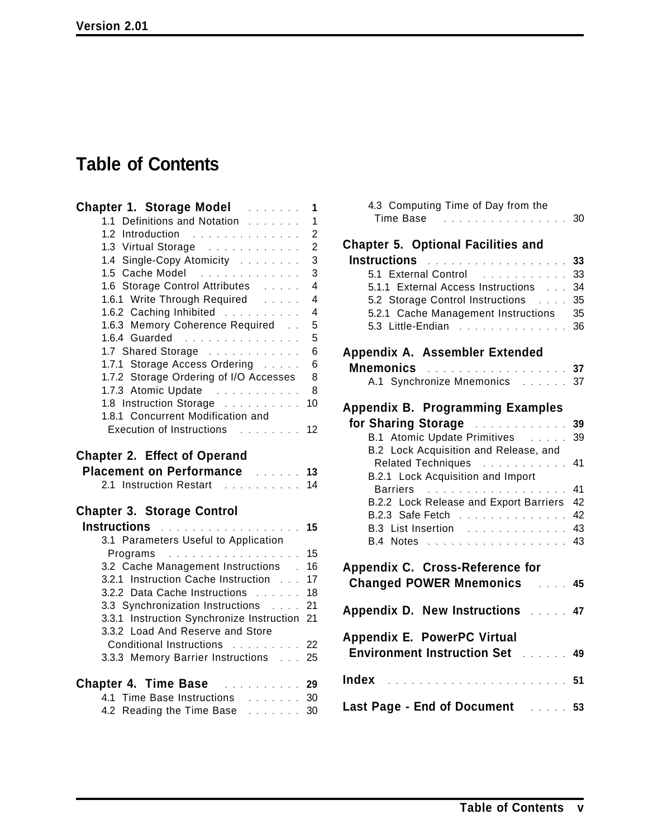# **Table of Contents**

| <b>Chapter 1. Storage Model Allence 2016</b>                                         | $\mathbf{1}$   |
|--------------------------------------------------------------------------------------|----------------|
| 1.1 Definitions and Notation                                                         | $\mathbf{1}$   |
| 1.2 Introduction<br>$\mathcal{A}$ , and a set of the set of the set of $\mathcal{A}$ | $\overline{2}$ |
| 1.3 Virtual Storage                                                                  | $\overline{2}$ |
| 1.4 Single-Copy Atomicity                                                            | 3              |
| 1.5 Cache Model                                                                      | 3              |
| 1.6 Storage Control Attributes                                                       | $\overline{4}$ |
| 1.6.1 Write Through Required                                                         | $\overline{4}$ |
| 1.6.2 Caching Inhibited                                                              | $\overline{4}$ |
| 1.6.3 Memory Coherence Required                                                      | 5              |
| 1.6.4 Guarded                                                                        | 5              |
| 1.7 Shared Storage                                                                   | 6              |
| 1.7.1 Storage Access Ordering                                                        | 6              |
| 1.7.2 Storage Ordering of I/O Accesses                                               | 8              |
| 1.7.3 Atomic Update<br>$\sim$ 100 km s $\sim$ 100 km s $\sim$ 100 km s $^{-1}$       | 8              |
| 1.8 Instruction Storage                                                              | 10             |
| 1.8.1 Concurrent Modification and                                                    |                |
| Execution of Instructions 12                                                         |                |
| <b>Chapter 2. Effect of Operand</b><br>Placement on Performance 2006 11 13           |                |
| 2.1 Instruction Restart 14                                                           |                |
| <b>Chapter 3. Storage Control</b>                                                    |                |
| Instructions <b>Entrancement Contract Contract 15</b>                                |                |
| 3.1 Parameters Useful to Application                                                 |                |
| Programs                                                                             | 15             |
| 3.2 Cache Management Instructions .                                                  | 16             |
| 3.2.1 Instruction Cache Instruction                                                  | 17             |
| 3.2.2 Data Cache Instructions                                                        | 18             |
| 3.3 Synchronization Instructions                                                     | 21             |
| 3.3.1 Instruction Synchronize Instruction<br>3.3.2 Load And Reserve and Store        | 21             |
|                                                                                      | 22             |
| Conditional Instructions<br>3.3.3 Memory Barrier Instructions 25                     |                |
|                                                                                      |                |
| <b>Chapter 4. Time Base Expansion 29</b><br>4.1 Time Base Instructions 30            |                |

| 4.3 Computing Time of Day from the<br>Time Base                                                                                                                                                                                      | 30 |
|--------------------------------------------------------------------------------------------------------------------------------------------------------------------------------------------------------------------------------------|----|
| <b>Chapter 5. Optional Facilities and</b>                                                                                                                                                                                            |    |
| Instructions <b>Entrancement Contract Contract Contract Contract Contract Contract Contract Contract Contract Contract Contract Contract Contract Contract Contract Contract Contract Contract Contract Contract Contract Contra</b> | 33 |
| 5.1 External Control<br>.                                                                                                                                                                                                            | 33 |
| 5.1.1 External Access Instructions                                                                                                                                                                                                   | 34 |
| 5.2 Storage Control Instructions                                                                                                                                                                                                     | 35 |
| 5.2.1 Cache Management Instructions 35                                                                                                                                                                                               |    |
| 5.3 Little-Endian<br><u>.</u>                                                                                                                                                                                                        | 36 |
| Appendix A. Assembler Extended                                                                                                                                                                                                       |    |
| <b>Mnemonics</b>                                                                                                                                                                                                                     |    |
| A.1 Synchronize Mnemonics 37                                                                                                                                                                                                         |    |
| <b>Appendix B. Programming Examples</b>                                                                                                                                                                                              |    |
| for Sharing Storage Manuscript                                                                                                                                                                                                       | 39 |
| B.1 Atomic Update Primitives                                                                                                                                                                                                         | 39 |
| B.2 Lock Acquisition and Release, and                                                                                                                                                                                                |    |
| Related Techniques                                                                                                                                                                                                                   | 41 |
| B.2.1 Lock Acquisition and Import                                                                                                                                                                                                    |    |
| Barriers                                                                                                                                                                                                                             | 41 |
| B.2.2 Lock Release and Export Barriers                                                                                                                                                                                               | 42 |
| B.2.3 Safe Fetch                                                                                                                                                                                                                     | 42 |
| B.3 List Insertion                                                                                                                                                                                                                   | 43 |
| B.4 Notes                                                                                                                                                                                                                            | 43 |
|                                                                                                                                                                                                                                      |    |
| Appendix C. Cross-Reference for                                                                                                                                                                                                      |    |
| <b>Changed POWER Mnemonics</b>                                                                                                                                                                                                       | 45 |
| <b>Appendix D. New Instructions Alleger</b>                                                                                                                                                                                          | 47 |
| Appendix E. PowerPC Virtual<br><b>Environment Instruction Set</b>                                                                                                                                                                    | 49 |
| Index                                                                                                                                                                                                                                | 51 |
| Last Page - End of Document<br>$\ldots$ 53                                                                                                                                                                                           |    |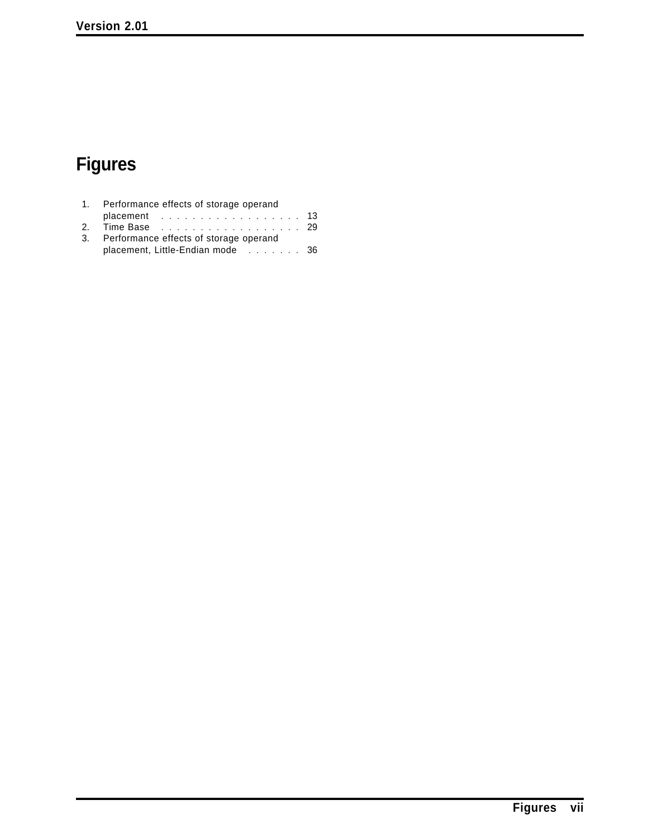# **Figures**

| 1. Performance effects of storage operand |                                                  |
|-------------------------------------------|--------------------------------------------------|
|                                           |                                                  |
| 2. Time Base 29                           |                                                  |
| 3. Performance effects of storage operand |                                                  |
|                                           |                                                  |
|                                           | placement 13<br>placement, Little-Endian mode 36 |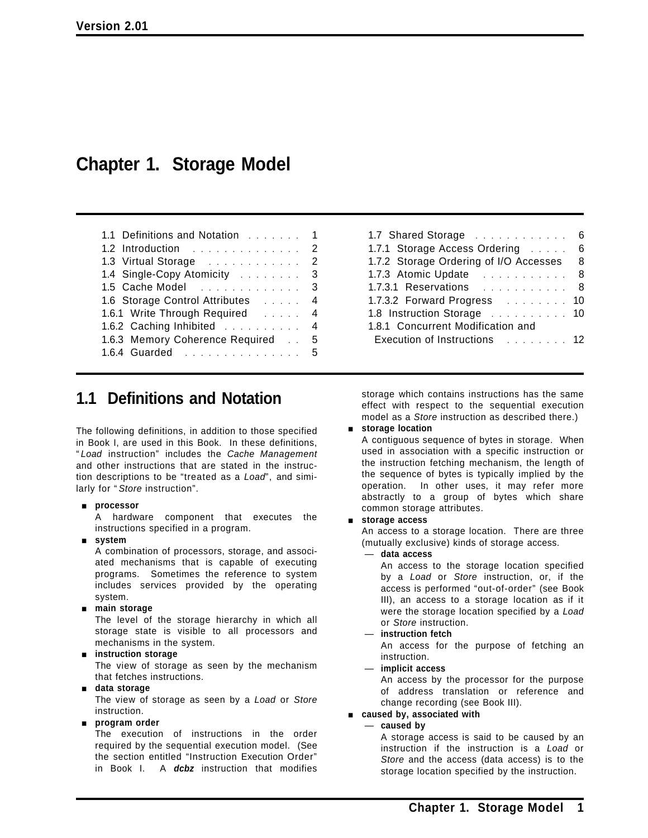# **Chapter 1. Storage Model**

| $\blacksquare$                    |  |  |
|-----------------------------------|--|--|
| 1.2 Introduction 2                |  |  |
| 1.3 Virtual Storage 2             |  |  |
| 1.4 Single-Copy Atomicity 3       |  |  |
| 1.5 Cache Model 3                 |  |  |
| 1.6 Storage Control Attributes 4  |  |  |
| 1.6.1 Write Through Required 4    |  |  |
| 1.6.2 Caching Inhibited 4         |  |  |
| 1.6.3 Memory Coherence Required 5 |  |  |
| 1.6.4 Guarded 5                   |  |  |

1.1 Definitions and Notation ....... 1

| 1.7.1 Storage Access Ordering<br>6<br>1.7.2 Storage Ordering of I/O Accesses 8<br>1.7.3 Atomic Update 8<br>1.7.3.1 Reservations 8<br>1.7.3.2 Forward Progress 10<br>1.8 Instruction Storage 10<br>1.8.1 Concurrent Modification and | 1.7 Shared Storage           | 6 |
|-------------------------------------------------------------------------------------------------------------------------------------------------------------------------------------------------------------------------------------|------------------------------|---|
|                                                                                                                                                                                                                                     |                              |   |
|                                                                                                                                                                                                                                     |                              |   |
|                                                                                                                                                                                                                                     |                              |   |
|                                                                                                                                                                                                                                     |                              |   |
|                                                                                                                                                                                                                                     |                              |   |
|                                                                                                                                                                                                                                     |                              |   |
|                                                                                                                                                                                                                                     |                              |   |
|                                                                                                                                                                                                                                     | Execution of Instructions 12 |   |

## **1.1 Definitions and Notation**

The following definitions, in addition to those specified in Book I, are used in this Book. In these definitions, " *Load* instruction" includes the *Cache Management* and other instructions that are stated in the instruction descriptions to be "treated as a *Load*", and similarly for " *Store* instruction".

### [ **processor**

A hardware component that executes the instructions specified in a program.

[ **system**

A combination of processors, storage, and associated mechanisms that is capable of executing programs. Sometimes the reference to system includes services provided by the operating system.

### [ **main storage**

The level of the storage hierarchy in which all storage state is visible to all processors and mechanisms in the system.

### $\blacksquare$  instruction storage

The view of storage as seen by the mechanism that fetches instructions.

### [ **data storage**

The view of storage as seen by a *Load* or *Store* instruction.

### [ **program order**

The execution of instructions in the order required by the sequential execution model. (See the section entitled "Instruction Execution Order" in Book I. A *dcbz* instruction that modifies storage which contains instructions has the same effect with respect to the sequential execution model as a *Store* instruction as described there.)

### $\blacksquare$  storage location

A contiguous sequence of bytes in storage. When used in association with a specific instruction or the instruction fetching mechanism, the length of the sequence of bytes is typically implied by the operation. In other uses, it may refer more abstractly to a group of bytes which share common storage attributes.

### [ **storage access**

An access to a storage location. There are three (mutually exclusive) kinds of storage access.

### — **data access**

An access to the storage location specified by a *Load* or *Store* instruction, or, if the access is performed "out-of-order" (see Book III), an access to a storage location as if it were the storage location specified by a *Load* or *Store* instruction.

### — **instruction fetch**

An access for the purpose of fetching an instruction.

### — **implicit access**

An access by the processor for the purpose of address translation or reference and change recording (see Book III).

### [ **caused by, associated with**

— **caused by**

A storage access is said to be caused by an instruction if the instruction is a *Load* or *Store* and the access (data access) is to the storage location specified by the instruction.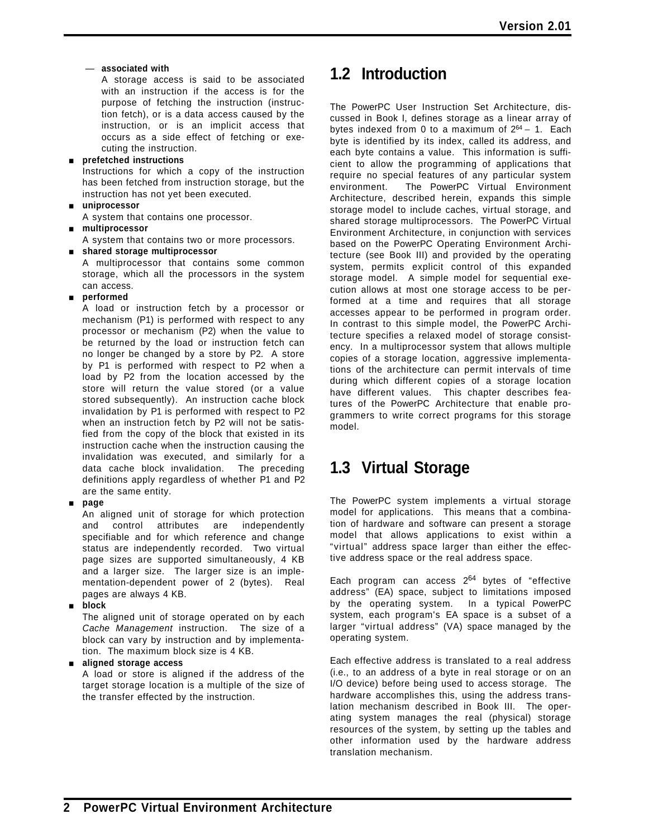### — **associated with**

A storage access is said to be associated with an instruction if the access is for the purpose of fetching the instruction (instruction fetch), or is a data access caused by the instruction, or is an implicit access that occurs as a side effect of fetching or executing the instruction.

### [ **prefetched instructions**

Instructions for which a copy of the instruction has been fetched from instruction storage, but the instruction has not yet been executed.

### [ **uniprocessor**

A system that contains one processor.

### [ **multiprocessor**

A system that contains two or more processors.

[ **shared storage multiprocessor**

A multiprocessor that contains some common storage, which all the processors in the system can access.

### $\blacksquare$  performed

A load or instruction fetch by a processor or mechanism (P1) is performed with respect to any processor or mechanism (P2) when the value to be returned by the load or instruction fetch can no longer be changed by a store by P2. A store by P1 is performed with respect to P2 when a load by P2 from the location accessed by the store will return the value stored (or a value stored subsequently). An instruction cache block invalidation by P1 is performed with respect to P2 when an instruction fetch by P2 will not be satisfied from the copy of the block that existed in its instruction cache when the instruction causing the invalidation was executed, and similarly for a data cache block invalidation. The preceding definitions apply regardless of whether P1 and P2 are the same entity.

### [ **page**

An aligned unit of storage for which protection and control attributes are independently specifiable and for which reference and change status are independently recorded. Two virtual page sizes are supported simultaneously, 4 KB and a larger size. The larger size is an implementation-dependent power of 2 (bytes). Real pages are always 4 KB.

### [ **block**

The aligned unit of storage operated on by each *Cache Management* instruction. The size of a block can vary by instruction and by implementation. The maximum block size is 4 KB.

### [ **aligned storage access**

A load or store is aligned if the address of the target storage location is a multiple of the size of the transfer effected by the instruction.

# **1.2 Introduction**

The PowerPC User Instruction Set Architecture, discussed in Book I, defines storage as a linear array of bytes indexed from 0 to a maximum of 264 − 1. Each byte is identified by its index, called its address, and each byte contains a value. This information is sufficient to allow the programming of applications that require no special features of any particular system environment. The PowerPC Virtual Environment Architecture, described herein, expands this simple storage model to include caches, virtual storage, and shared storage multiprocessors. The PowerPC Virtual Environment Architecture, in conjunction with services based on the PowerPC Operating Environment Architecture (see Book III) and provided by the operating system, permits explicit control of this expanded storage model. A simple model for sequential execution allows at most one storage access to be performed at a time and requires that all storage accesses appear to be performed in program order. In contrast to this simple model, the PowerPC Architecture specifies a relaxed model of storage consistency. In a multiprocessor system that allows multiple copies of a storage location, aggressive implementations of the architecture can permit intervals of time during which different copies of a storage location have different values. This chapter describes features of the PowerPC Architecture that enable programmers to write correct programs for this storage model.

# **1.3 Virtual Storage**

The PowerPC system implements a virtual storage model for applications. This means that a combination of hardware and software can present a storage model that allows applications to exist within a "virtual" address space larger than either the effective address space or the real address space.

Each program can access  $2^{64}$  bytes of "effective address" (EA) space, subject to limitations imposed by the operating system. In a typical PowerPC system, each program's EA space is a subset of a larger "virtual address" (VA) space managed by the operating system.

Each effective address is translated to a real address (i.e., to an address of a byte in real storage or on an I/O device) before being used to access storage. The hardware accomplishes this, using the address translation mechanism described in Book III. The operating system manages the real (physical) storage resources of the system, by setting up the tables and other information used by the hardware address translation mechanism.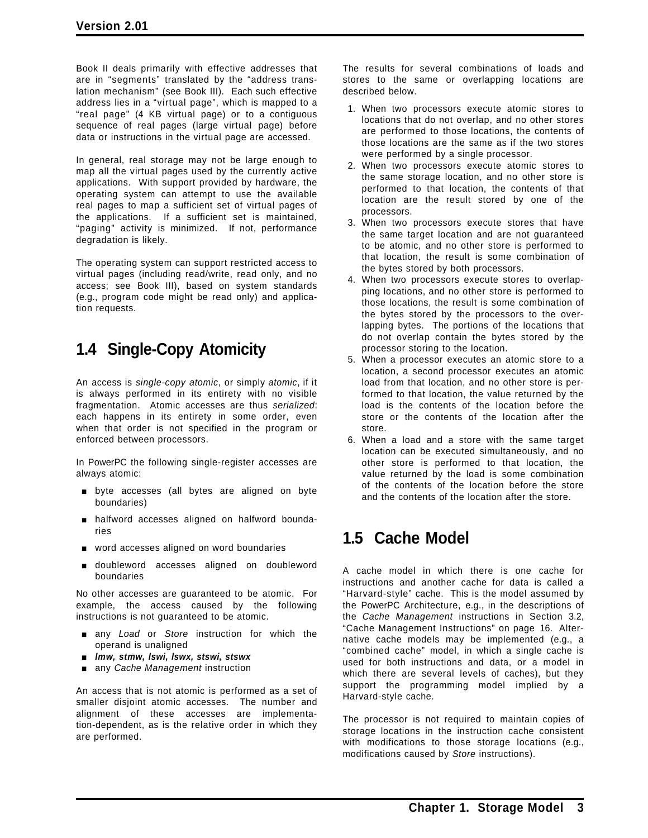Book II deals primarily with effective addresses that are in "segments" translated by the "address translation mechanism" (see Book III). Each such effective address lies in a "virtual page", which is mapped to a "real page" (4 KB virtual page) or to a contiguous sequence of real pages (large virtual page) before data or instructions in the virtual page are accessed.

In general, real storage may not be large enough to map all the virtual pages used by the currently active applications. With support provided by hardware, the operating system can attempt to use the available real pages to map a sufficient set of virtual pages of the applications. If a sufficient set is maintained, "paging" activity is minimized. If not, performance degradation is likely.

The operating system can support restricted access to virtual pages (including read/write, read only, and no access; see Book III), based on system standards (e.g., program code might be read only) and application requests.

# **1.4 Single-Copy Atomicity**

An access is *single-copy atomic*, or simply *atomic*, if it is always performed in its entirety with no visible fragmentation. Atomic accesses are thus *serialized*: each happens in its entirety in some order, even when that order is not specified in the program or enforced between processors.

In PowerPC the following single-register accesses are always atomic:

- byte accesses (all bytes are aligned on byte boundaries)
- **n** halfword accesses aligned on halfword boundaries
- **November 2018** word accesses aligned on word boundaries
- **u** doubleword accesses aligned on doubleword boundaries

No other accesses are guaranteed to be atomic. For example, the access caused by the following instructions is not guaranteed to be atomic.

- [ any *Load* or *Store* instruction for which the operand is unaligned
- [ *lmw, stmw, lswi, lswx, stswi, stswx*
- **n** any *Cache Management* instruction

An access that is not atomic is performed as a set of smaller disjoint atomic accesses. The number and alignment of these accesses are implementation-dependent, as is the relative order in which they are performed.

The results for several combinations of loads and stores to the same or overlapping locations are described below.

- 1. When two processors execute atomic stores to locations that do not overlap, and no other stores are performed to those locations, the contents of those locations are the same as if the two stores were performed by a single processor.
- 2. When two processors execute atomic stores to the same storage location, and no other store is performed to that location, the contents of that location are the result stored by one of the processors.
- 3. When two processors execute stores that have the same target location and are not guaranteed to be atomic, and no other store is performed to that location, the result is some combination of the bytes stored by both processors.
- 4. When two processors execute stores to overlapping locations, and no other store is performed to those locations, the result is some combination of the bytes stored by the processors to the overlapping bytes. The portions of the locations that do not overlap contain the bytes stored by the processor storing to the location.
- 5. When a processor executes an atomic store to a location, a second processor executes an atomic load from that location, and no other store is performed to that location, the value returned by the load is the contents of the location before the store or the contents of the location after the store.
- 6. When a load and a store with the same target location can be executed simultaneously, and no other store is performed to that location, the value returned by the load is some combination of the contents of the location before the store and the contents of the location after the store.

# **1.5 Cache Model**

A cache model in which there is one cache for instructions and another cache for data is called a "Harvard-style" cache. This is the model assumed by the PowerPC Architecture, e.g., in the descriptions of the *Cache Management* instructions in Section 3.2, "Cache Management Instructions" on page 16. Alternative cache models may be implemented (e.g., a "combined cache" model, in which a single cache is used for both instructions and data, or a model in which there are several levels of caches), but they support the programming model implied by a Harvard-style cache.

The processor is not required to maintain copies of storage locations in the instruction cache consistent with modifications to those storage locations (e.g., modifications caused by *Store* instructions).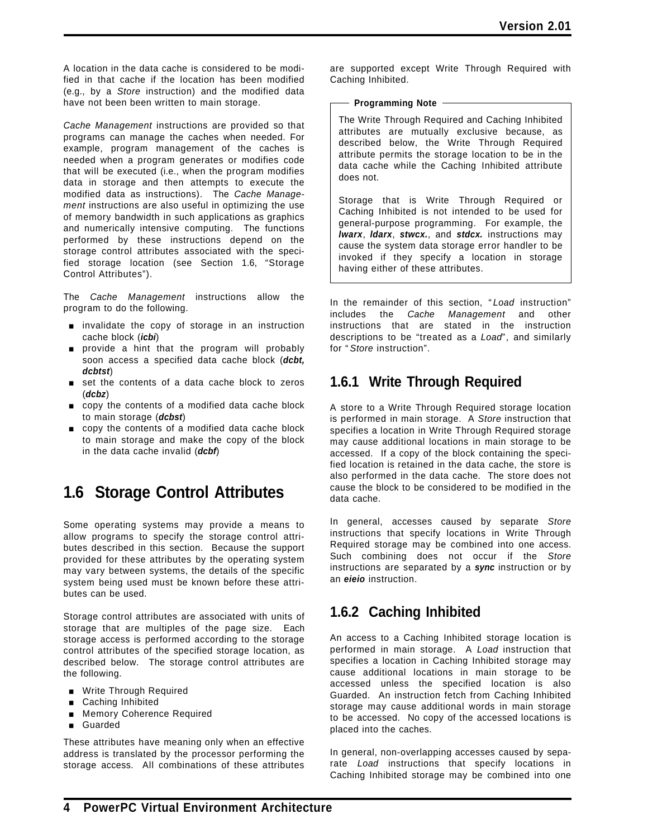A location in the data cache is considered to be modified in that cache if the location has been modified (e.g., by a *Store* instruction) and the modified data have not been been written to main storage.

*Cache Management* instructions are provided so that programs can manage the caches when needed. For example, program management of the caches is needed when a program generates or modifies code that will be executed (i.e., when the program modifies data in storage and then attempts to execute the modified data as instructions). The *Cache Management* instructions are also useful in optimizing the use of memory bandwidth in such applications as graphics and numerically intensive computing. The functions performed by these instructions depend on the storage control attributes associated with the specified storage location (see Section 1.6, "Storage Control Attributes").

The *Cache Management* instructions allow the program to do the following.

- **nally invalidate the copy of storage in an instruction** cache block (*icbi*)
- provide a hint that the program will probably soon access a specified data cache block (*dcbt, dcbtst*)
- set the contents of a data cache block to zeros (*dcbz*)
- copy the contents of a modified data cache block to main storage (*dcbst*)
- **p** copy the contents of a modified data cache block to main storage and make the copy of the block in the data cache invalid (*dcbf*)

# **1.6 Storage Control Attributes**

Some operating systems may provide a means to allow programs to specify the storage control attributes described in this section. Because the support provided for these attributes by the operating system may vary between systems, the details of the specific system being used must be known before these attributes can be used.

Storage control attributes are associated with units of storage that are multiples of the page size. Each storage access is performed according to the storage control attributes of the specified storage location, as described below. The storage control attributes are the following.

- **Nite Through Required**
- **Example 2** Caching Inhibited
- **Nemory Coherence Required**
- **g** Guarded

These attributes have meaning only when an effective address is translated by the processor performing the storage access. All combinations of these attributes are supported except Write Through Required with Caching Inhibited.

### **Programming Note**

The Write Through Required and Caching Inhibited attributes are mutually exclusive because, as described below, the Write Through Required attribute permits the storage location to be in the data cache while the Caching Inhibited attribute does not.

Storage that is Write Through Required or Caching Inhibited is not intended to be used for general-purpose programming. For example, the *lwarx*, *ldarx*, *stwcx.*, and *stdcx.* instructions may cause the system data storage error handler to be invoked if they specify a location in storage having either of these attributes.

In the remainder of this section, " *Load* instruction" includes the *Cache Management* and other instructions that are stated in the instruction descriptions to be "treated as a *Load*", and similarly for " *Store* instruction".

### **1.6.1 Write Through Required**

A store to a Write Through Required storage location is performed in main storage. A *Store* instruction that specifies a location in Write Through Required storage may cause additional locations in main storage to be accessed. If a copy of the block containing the specified location is retained in the data cache, the store is also performed in the data cache. The store does not cause the block to be considered to be modified in the data cache.

In general, accesses caused by separate *Store* instructions that specify locations in Write Through Required storage may be combined into one access. Such combining does not occur if the *Store* instructions are separated by a *sync* instruction or by an *eieio* instruction.

## **1.6.2 Caching Inhibited**

An access to a Caching Inhibited storage location is performed in main storage. A *Load* instruction that specifies a location in Caching Inhibited storage may cause additional locations in main storage to be accessed unless the specified location is also Guarded. An instruction fetch from Caching Inhibited storage may cause additional words in main storage to be accessed. No copy of the accessed locations is placed into the caches.

In general, non-overlapping accesses caused by separate *Load* instructions that specify locations in Caching Inhibited storage may be combined into one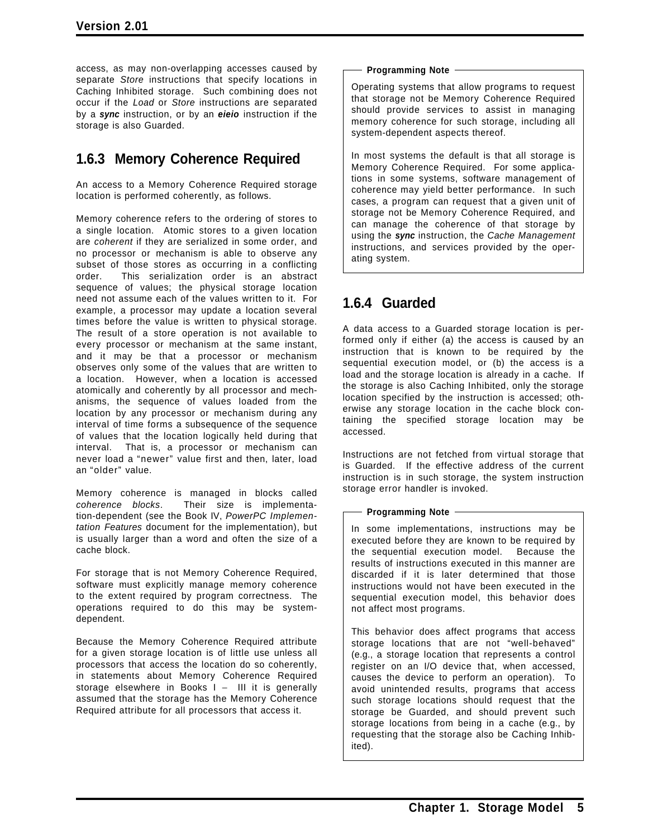access, as may non-overlapping accesses caused by separate *Store* instructions that specify locations in Caching Inhibited storage. Such combining does not occur if the *Load* or *Store* instructions are separated by a *sync* instruction, or by an *eieio* instruction if the storage is also Guarded.

### **1.6.3 Memory Coherence Required**

An access to a Memory Coherence Required storage location is performed coherently, as follows.

Memory coherence refers to the ordering of stores to a single location. Atomic stores to a given location are *coherent* if they are serialized in some order, and no processor or mechanism is able to observe any subset of those stores as occurring in a conflicting order. This serialization order is an abstract sequence of values; the physical storage location need not assume each of the values written to it. For example, a processor may update a location several times before the value is written to physical storage. The result of a store operation is not available to every processor or mechanism at the same instant, and it may be that a processor or mechanism observes only some of the values that are written to a location. However, when a location is accessed atomically and coherently by all processor and mechanisms, the sequence of values loaded from the location by any processor or mechanism during any interval of time forms a subsequence of the sequence of values that the location logically held during that interval. That is, a processor or mechanism can never load a "newer" value first and then, later, load an "older" value.

Memory coherence is managed in blocks called *coherence blocks*. Their size is implementation-dependent (see the Book IV, *PowerPC Implementation Features* document for the implementation), but is usually larger than a word and often the size of a cache block.

For storage that is not Memory Coherence Required, software must explicitly manage memory coherence to the extent required by program correctness. The operations required to do this may be systemdependent.

Because the Memory Coherence Required attribute for a given storage location is of little use unless all processors that access the location do so coherently, in statements about Memory Coherence Required storage elsewhere in Books I − III it is generally assumed that the storage has the Memory Coherence Required attribute for all processors that access it.

### **Programming Note**

Operating systems that allow programs to request that storage not be Memory Coherence Required should provide services to assist in managing memory coherence for such storage, including all system-dependent aspects thereof.

In most systems the default is that all storage is Memory Coherence Required. For some applications in some systems, software management of coherence may yield better performance. In such cases, a program can request that a given unit of storage not be Memory Coherence Required, and can manage the coherence of that storage by using the *sync* instruction, the *Cache Management* instructions, and services provided by the operating system.

## **1.6.4 Guarded**

A data access to a Guarded storage location is performed only if either (a) the access is caused by an instruction that is known to be required by the sequential execution model, or (b) the access is a load and the storage location is already in a cache. If the storage is also Caching Inhibited, only the storage location specified by the instruction is accessed; otherwise any storage location in the cache block containing the specified storage location may be accessed.

Instructions are not fetched from virtual storage that is Guarded. If the effective address of the current instruction is in such storage, the system instruction storage error handler is invoked.

### **Programming Note**

In some implementations, instructions may be executed before they are known to be required by the sequential execution model. Because the results of instructions executed in this manner are discarded if it is later determined that those instructions would not have been executed in the sequential execution model, this behavior does not affect most programs.

This behavior does affect programs that access storage locations that are not "well-behaved" (e.g., a storage location that represents a control register on an I/O device that, when accessed, causes the device to perform an operation). To avoid unintended results, programs that access such storage locations should request that the storage be Guarded, and should prevent such storage locations from being in a cache (e.g., by requesting that the storage also be Caching Inhibited).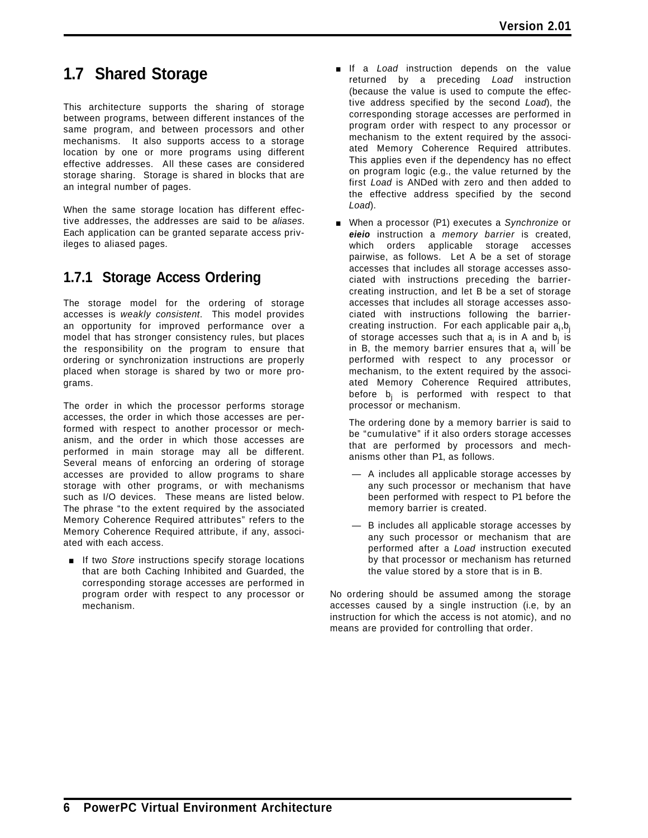# **1.7 Shared Storage**

This architecture supports the sharing of storage between programs, between different instances of the same program, and between processors and other mechanisms. It also supports access to a storage location by one or more programs using different effective addresses. All these cases are considered storage sharing. Storage is shared in blocks that are an integral number of pages.

When the same storage location has different effective addresses, the addresses are said to be *aliases*. Each application can be granted separate access privileges to aliased pages.

## **1.7.1 Storage Access Ordering**

The storage model for the ordering of storage accesses is *weakly consistent*. This model provides an opportunity for improved performance over a model that has stronger consistency rules, but places the responsibility on the program to ensure that ordering or synchronization instructions are properly placed when storage is shared by two or more programs.

The order in which the processor performs storage accesses, the order in which those accesses are performed with respect to another processor or mechanism, and the order in which those accesses are performed in main storage may all be different. Several means of enforcing an ordering of storage accesses are provided to allow programs to share storage with other programs, or with mechanisms such as I/O devices. These means are listed below. The phrase "to the extent required by the associated Memory Coherence Required attributes" refers to the Memory Coherence Required attribute, if any, associated with each access.

**If two** *Store* instructions specify storage locations that are both Caching Inhibited and Guarded, the corresponding storage accesses are performed in program order with respect to any processor or mechanism.

- **If a** *Load* instruction depends on the value returned by a preceding *Load* instruction (because the value is used to compute the effective address specified by the second *Load*), the corresponding storage accesses are performed in program order with respect to any processor or mechanism to the extent required by the associated Memory Coherence Required attributes. This applies even if the dependency has no effect on program logic (e.g., the value returned by the first *Load* is ANDed with zero and then added to the effective address specified by the second *Load*).
- [ When a processor (P1) executes a *Synchronize* or *eieio* instruction a *memory barrier* is created, which orders applicable storage accesses pairwise, as follows. Let A be a set of storage accesses that includes all storage accesses associated with instructions preceding the barriercreating instruction, and let B be a set of storage accesses that includes all storage accesses associated with instructions following the barriercreating instruction. For each applicable pair a<sub>i</sub>,b<sub>j</sub> of storage accesses such that  $a_i$  is in A and  $b_i$  is in B, the memory barrier ensures that  $a_i$  will be performed with respect to any processor or mechanism, to the extent required by the associated Memory Coherence Required attributes, before  $b_i$  is performed with respect to that processor or mechanism.

The ordering done by a memory barrier is said to be "cumulative" if it also orders storage accesses that are performed by processors and mechanisms other than P1, as follows.

- A includes all applicable storage accesses by any such processor or mechanism that have been performed with respect to P1 before the memory barrier is created.
- B includes all applicable storage accesses by any such processor or mechanism that are performed after a *Load* instruction executed by that processor or mechanism has returned the value stored by a store that is in B.

No ordering should be assumed among the storage accesses caused by a single instruction (i.e, by an instruction for which the access is not atomic), and no means are provided for controlling that order.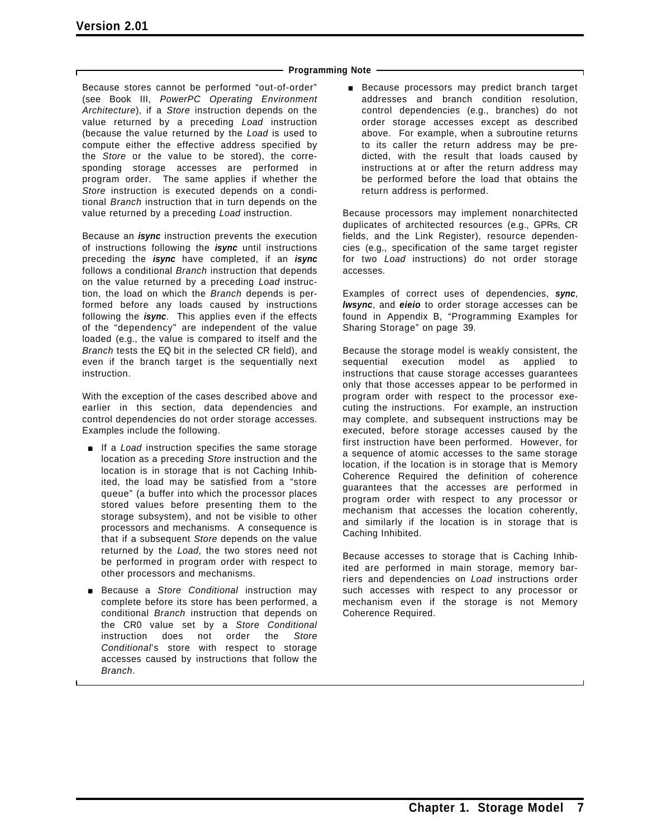### **Programming Note**

Because stores cannot be performed "out-of-order" (see Book III, *PowerPC Operating Environment Architecture*), if a *Store* instruction depends on the value returned by a preceding *Load* instruction (because the value returned by the *Load* is used to compute either the effective address specified by the *Store* or the value to be stored), the corresponding storage accesses are performed in program order. The same applies if whether the *Store* instruction is executed depends on a conditional *Branch* instruction that in turn depends on the value returned by a preceding *Load* instruction.

Because an *isync* instruction prevents the execution of instructions following the *isync* until instructions preceding the *isync* have completed, if an *isync* follows a conditional *Branch* instruction that depends on the value returned by a preceding *Load* instruction, the load on which the *Branch* depends is performed before any loads caused by instructions following the *isync*. This applies even if the effects of the "dependency" are independent of the value loaded (e.g., the value is compared to itself and the *Branch* tests the EQ bit in the selected CR field), and even if the branch target is the sequentially next instruction.

With the exception of the cases described above and earlier in this section, data dependencies and control dependencies do not order storage accesses. Examples include the following.

- **If a** *Load* instruction specifies the same storage location as a preceding *Store* instruction and the location is in storage that is not Caching Inhibited, the load may be satisfied from a "store queue" (a buffer into which the processor places stored values before presenting them to the storage subsystem), and not be visible to other processors and mechanisms. A consequence is that if a subsequent *Store* depends on the value returned by the *Load*, the two stores need not be performed in program order with respect to other processors and mechanisms.
- **Because a Store Conditional instruction may** complete before its store has been performed, a conditional *Branch* instruction that depends on the CR0 value set by a *Store Conditional* instruction does not order the *Store Conditional*'s store with respect to storage accesses caused by instructions that follow the *Branch*.

**Because processors may predict branch target** addresses and branch condition resolution, control dependencies (e.g., branches) do not order storage accesses except as described above. For example, when a subroutine returns to its caller the return address may be predicted, with the result that loads caused by instructions at or after the return address may be performed before the load that obtains the return address is performed.

Because processors may implement nonarchitected duplicates of architected resources (e.g., GPRs, CR fields, and the Link Register), resource dependencies (e.g., specification of the same target register for two *Load* instructions) do not order storage accesses.

Examples of correct uses of dependencies, *sync*, *lwsync*, and *eieio* to order storage accesses can be found in Appendix B, "Programming Examples for Sharing Storage" on page 39.

Because the storage model is weakly consistent, the sequential execution model as applied to instructions that cause storage accesses guarantees only that those accesses appear to be performed in program order with respect to the processor executing the instructions. For example, an instruction may complete, and subsequent instructions may be executed, before storage accesses caused by the first instruction have been performed. However, for a sequence of atomic accesses to the same storage location, if the location is in storage that is Memory Coherence Required the definition of coherence guarantees that the accesses are performed in program order with respect to any processor or mechanism that accesses the location coherently, and similarly if the location is in storage that is Caching Inhibited.

Because accesses to storage that is Caching Inhibited are performed in main storage, memory barriers and dependencies on *Load* instructions order such accesses with respect to any processor or mechanism even if the storage is not Memory Coherence Required.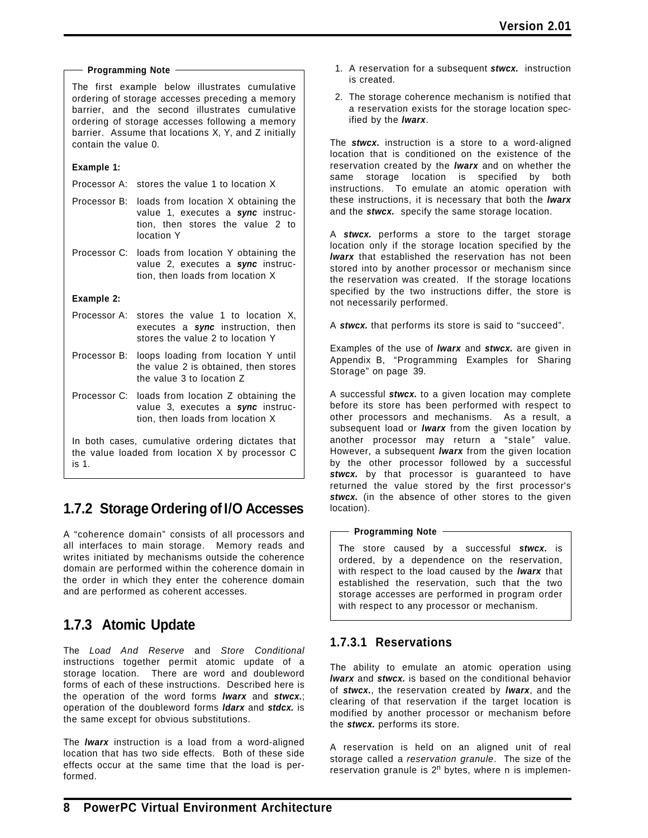### **Programming Note**

The first example below illustrates cumulative ordering of storage accesses preceding a memory barrier, and the second illustrates cumulative ordering of storage accesses following a memory barrier. Assume that locations X, Y, and Z initially contain the value 0.

### **Example 1:**

- Processor A: stores the value 1 to location X
- Processor B: loads from location X obtaining the value 1, executes a *sync* instruction, then stores the value 2 to location Y
- Processor C: loads from location Y obtaining the value 2, executes a *sync* instruction, then loads from location X

**Example 2:**

- Processor A: stores the value 1 to location X, executes a *sync* instruction, then stores the value 2 to location Y
- Processor B: loops loading from location Y until the value 2 is obtained, then stores the value 3 to location Z
- Processor C: loads from location Z obtaining the value 3, executes a *sync* instruction, then loads from location X

In both cases, cumulative ordering dictates that the value loaded from location X by processor C is 1.

## **1.7.2 Storage Ordering of I/O Accesses**

A "coherence domain" consists of all processors and all interfaces to main storage. Memory reads and writes initiated by mechanisms outside the coherence domain are performed within the coherence domain in the order in which they enter the coherence domain and are performed as coherent accesses.

## **1.7.3 Atomic Update**

The *Load And Reserve* and *Store Conditional* instructions together permit atomic update of a storage location. There are word and doubleword forms of each of these instructions. Described here is the operation of the word forms *lwarx* and *stwcx.*; operation of the doubleword forms *ldarx* and *stdcx.* is the same except for obvious substitutions.

The *lwarx* instruction is a load from a word-aligned location that has two side effects. Both of these side effects occur at the same time that the load is performed.

- 1. A reservation for a subsequent *stwcx.* instruction is created.
- 2. The storage coherence mechanism is notified that a reservation exists for the storage location specified by the *lwarx*.

The *stwcx.* instruction is a store to a word-aligned location that is conditioned on the existence of the reservation created by the *lwarx* and on whether the same storage location is specified by both instructions. To emulate an atomic operation with these instructions, it is necessary that both the *lwarx* and the *stwcx.* specify the same storage location.

A *stwcx.* performs a store to the target storage location only if the storage location specified by the *lwarx* that established the reservation has not been stored into by another processor or mechanism since the reservation was created. If the storage locations specified by the two instructions differ, the store is not necessarily performed.

A *stwcx.* that performs its store is said to "succeed".

Examples of the use of *lwarx* and *stwcx.* are given in Appendix B, "Programming Examples for Sharing Storage" on page 39.

A successful *stwcx.* to a given location may complete before its store has been performed with respect to other processors and mechanisms. As a result, a subsequent load or *lwarx* from the given location by another processor may return a "stale" value. However, a subsequent *lwarx* from the given location by the other processor followed by a successful stwcx. by that processor is guaranteed to have returned the value stored by the first processor's stwcx. (in the absence of other stores to the given location).

### **Programming Note**

The store caused by a successful *stwcx.* is ordered, by a dependence on the reservation, with respect to the load caused by the *lwarx* that established the reservation, such that the two storage accesses are performed in program order with respect to any processor or mechanism.

### **1.7.3.1 Reservations**

The ability to emulate an atomic operation using *lwarx* and *stwcx.* is based on the conditional behavior of *stwcx.*, the reservation created by *lwarx*, and the clearing of that reservation if the target location is modified by another processor or mechanism before the *stwcx.* performs its store.

A reservation is held on an aligned unit of real storage called a *reservation granule*. The size of the reservation granule is  $2^n$  bytes, where n is implemen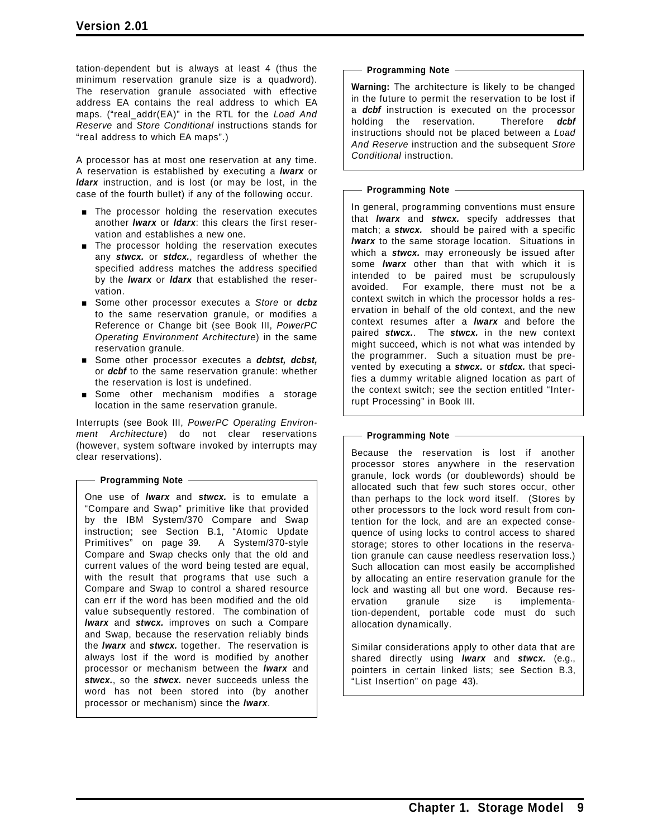tation-dependent but is always at least 4 (thus the minimum reservation granule size is a quadword). The reservation granule associated with effective address EA contains the real address to which EA maps. ("real\_addr(EA)" in the RTL for the *Load And Reserve* and *Store Conditional* instructions stands for "real address to which EA maps".)

A processor has at most one reservation at any time. A reservation is established by executing a *lwarx* or *ldarx* instruction, and is lost (or may be lost, in the case of the fourth bullet) if any of the following occur.

- **The processor holding the reservation executes** another *lwarx* or *ldarx*: this clears the first reservation and establishes a new one.
- **The processor holding the reservation executes** any *stwcx.* or *stdcx.*, regardless of whether the specified address matches the address specified by the *lwarx* or *ldarx* that established the reservation.
- [ Some other processor executes a *Store* or *dcbz* to the same reservation granule, or modifies a Reference or Change bit (see Book III, *PowerPC Operating Environment Architecture*) in the same reservation granule.
- **Example 30 Some other processor executes a** *dcbtst, dcbst,* or *dcbf* to the same reservation granule: whether the reservation is lost is undefined.
- **Some other mechanism modifies a storage** location in the same reservation granule.

Interrupts (see Book III, *PowerPC Operating Environment Architecture*) do not clear reservations (however, system software invoked by interrupts may clear reservations).

### **Programming Note**

One use of *lwarx* and *stwcx.* is to emulate a "Compare and Swap" primitive like that provided by the IBM System/370 Compare and Swap instruction; see Section B.1, "Atomic Update Primitives" on page 39. A System/370-style Compare and Swap checks only that the old and current values of the word being tested are equal, with the result that programs that use such a Compare and Swap to control a shared resource can err if the word has been modified and the old value subsequently restored. The combination of *lwarx* and *stwcx.* improves on such a Compare and Swap, because the reservation reliably binds the *lwarx* and *stwcx.* together. The reservation is always lost if the word is modified by another processor or mechanism between the *lwarx* and *stwcx.*, so the *stwcx.* never succeeds unless the word has not been stored into (by another processor or mechanism) since the *lwarx*.

### **Programming Note**

**Warning:** The architecture is likely to be changed in the future to permit the reservation to be lost if a *dcbf* instruction is executed on the processor holding the reservation. Therefore *dcbf* instructions should not be placed between a *Load And Reserve* instruction and the subsequent *Store Conditional* instruction.

**Programming Note**

In general, programming conventions must ensure that *lwarx* and *stwcx.* specify addresses that match; a *stwcx.* should be paired with a specific *lwarx* to the same storage location. Situations in which a *stwcx.* may erroneously be issued after some *lwarx* other than that with which it is intended to be paired must be scrupulously avoided. For example, there must not be a context switch in which the processor holds a reservation in behalf of the old context, and the new context resumes after a *lwarx* and before the paired *stwcx.*. The *stwcx.* in the new context might succeed, which is not what was intended by the programmer. Such a situation must be prevented by executing a *stwcx.* or *stdcx.* that specifies a dummy writable aligned location as part of the context switch; see the section entitled "Interrupt Processing" in Book III.

### - Programming Note -

Because the reservation is lost if another processor stores anywhere in the reservation granule, lock words (or doublewords) should be allocated such that few such stores occur, other than perhaps to the lock word itself. (Stores by other processors to the lock word result from contention for the lock, and are an expected consequence of using locks to control access to shared storage; stores to other locations in the reservation granule can cause needless reservation loss.) Such allocation can most easily be accomplished by allocating an entire reservation granule for the lock and wasting all but one word. Because reservation granule size is implementation-dependent, portable code must do such allocation dynamically.

Similar considerations apply to other data that are shared directly using *lwarx* and *stwcx.* (e.g., pointers in certain linked lists; see Section B.3, "List Insertion" on page 43).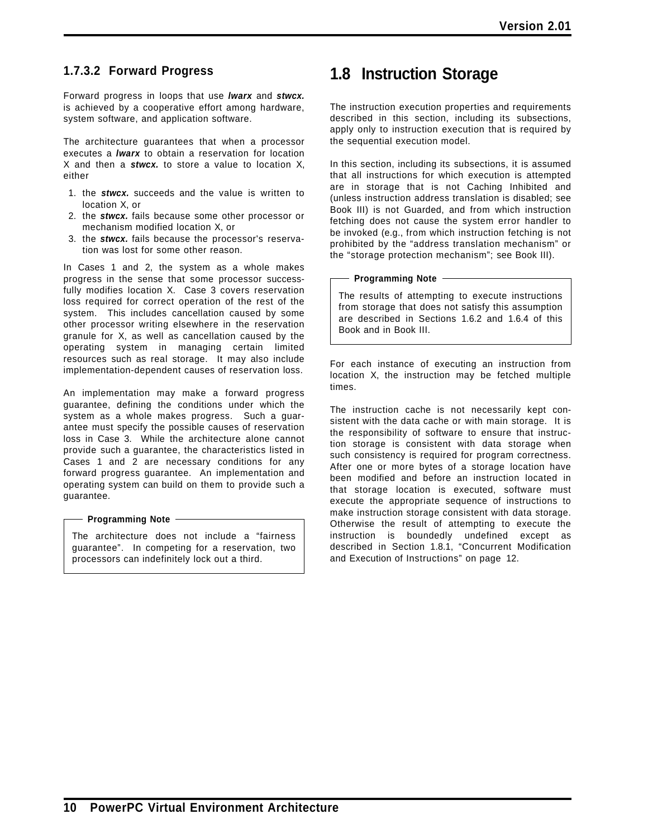### **1.7.3.2 Forward Progress**

Forward progress in loops that use *lwarx* and *stwcx.* is achieved by a cooperative effort among hardware, system software, and application software.

The architecture guarantees that when a processor executes a *lwarx* to obtain a reservation for location X and then a *stwcx.* to store a value to location X, either

- 1. the *stwcx.* succeeds and the value is written to location X, or
- 2. the *stwcx.* fails because some other processor or mechanism modified location X, or
- 3. the *stwcx.* fails because the processor's reservation was lost for some other reason.

In Cases 1 and 2, the system as a whole makes progress in the sense that some processor successfully modifies location X. Case 3 covers reservation loss required for correct operation of the rest of the system. This includes cancellation caused by some other processor writing elsewhere in the reservation granule for X, as well as cancellation caused by the operating system in managing certain limited resources such as real storage. It may also include implementation-dependent causes of reservation loss.

An implementation may make a forward progress guarantee, defining the conditions under which the system as a whole makes progress. Such a guarantee must specify the possible causes of reservation loss in Case 3. While the architecture alone cannot provide such a guarantee, the characteristics listed in Cases 1 and 2 are necessary conditions for any forward progress guarantee. An implementation and operating system can build on them to provide such a guarantee.

### **Programming Note**

The architecture does not include a "fairness guarantee". In competing for a reservation, two processors can indefinitely lock out a third.

# **1.8 Instruction Storage**

The instruction execution properties and requirements described in this section, including its subsections, apply only to instruction execution that is required by the sequential execution model.

In this section, including its subsections, it is assumed that all instructions for which execution is attempted are in storage that is not Caching Inhibited and (unless instruction address translation is disabled; see Book III) is not Guarded, and from which instruction fetching does not cause the system error handler to be invoked (e.g., from which instruction fetching is not prohibited by the "address translation mechanism" or the "storage protection mechanism"; see Book III).

### **Programming Note**

The results of attempting to execute instructions from storage that does not satisfy this assumption are described in Sections 1.6.2 and 1.6.4 of this Book and in Book III.

For each instance of executing an instruction from location X, the instruction may be fetched multiple times.

The instruction cache is not necessarily kept consistent with the data cache or with main storage. It is the responsibility of software to ensure that instruction storage is consistent with data storage when such consistency is required for program correctness. After one or more bytes of a storage location have been modified and before an instruction located in that storage location is executed, software must execute the appropriate sequence of instructions to make instruction storage consistent with data storage. Otherwise the result of attempting to execute the instruction is boundedly undefined except as described in Section 1.8.1, "Concurrent Modification and Execution of Instructions" on page 12.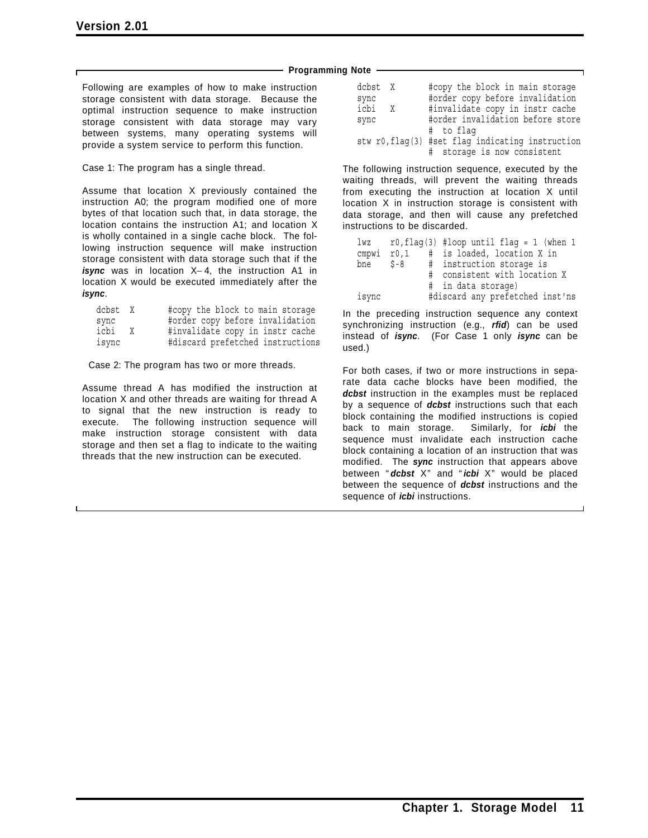### **Programming Note**

Following are examples of how to make instruction storage consistent with data storage. Because the optimal instruction sequence to make instruction storage consistent with data storage may vary between systems, many operating systems will provide a system service to perform this function.

Case 1: The program has a single thread.

Assume that location X previously contained the instruction A0; the program modified one of more bytes of that location such that, in data storage, the location contains the instruction A1; and location X is wholly contained in a single cache block. The following instruction sequence will make instruction storage consistent with data storage such that if the *isync* was in location X−4, the instruction A1 in location X would be executed immediately after the *isync*.

| dcbst X |   | #copy the block to main storage  |
|---------|---|----------------------------------|
| sync    |   | #order copy before invalidation  |
| icbi    | X | #invalidate copy in instr cache  |
| isync   |   | #discard prefetched instructions |

Case 2: The program has two or more threads.

Assume thread A has modified the instruction at location X and other threads are waiting for thread A to signal that the new instruction is ready to execute. The following instruction sequence will make instruction storage consistent with data storage and then set a flag to indicate to the waiting threads that the new instruction can be executed.

| dcbst X |   | #copy the block in main storage                  |
|---------|---|--------------------------------------------------|
| sync    |   | #order copy before invalidation                  |
| icbi    | X | #invalidate copy in instr cache                  |
| sync    |   | #order invalidation before store                 |
|         |   | # to flaq                                        |
|         |   | stw r0, flag(3) #set flag indicating instruction |
|         |   | # storage is now consistent                      |

The following instruction sequence, executed by the waiting threads, will prevent the waiting threads from executing the instruction at location X until location X in instruction storage is consistent with data storage, and then will cause any prefetched instructions to be discarded.

| lwz   |         | $r0, flag(3)$ #loop until flag = 1 (when 1 |
|-------|---------|--------------------------------------------|
| cmpwi | r0,1    | # is loaded, location X in                 |
| bne   | $S - 8$ | # instruction storage is                   |
|       |         | # consistent with location X               |
|       |         | # in data storage)                         |
| isync |         | #discard any prefetched inst'ns            |

In the preceding instruction sequence any context synchronizing instruction (e.g., *rfid*) can be used instead of *isync*. (For Case 1 only *isync* can be used.)

For both cases, if two or more instructions in separate data cache blocks have been modified, the *dcbst* instruction in the examples must be replaced by a sequence of *dcbst* instructions such that each block containing the modified instructions is copied back to main storage. Similarly, for *icbi* the sequence must invalidate each instruction cache block containing a location of an instruction that was modified. The *sync* instruction that appears above between " *dcbst* X" and " *icbi* X" would be placed between the sequence of *dcbst* instructions and the sequence of *icbi* instructions.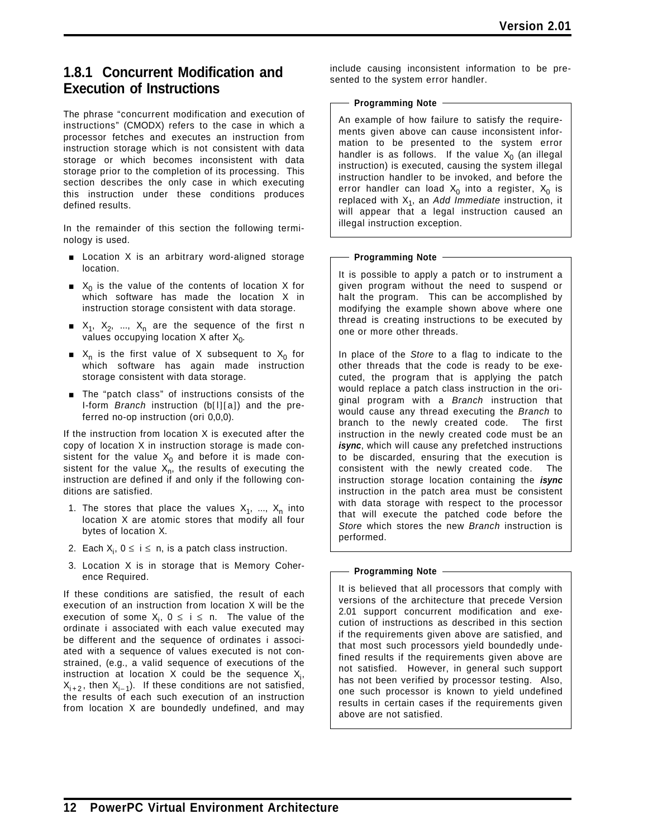### **1.8.1 Concurrent Modification and Execution of Instructions**

The phrase "concurrent modification and execution of instructions" (CMODX) refers to the case in which a processor fetches and executes an instruction from instruction storage which is not consistent with data storage or which becomes inconsistent with data storage prior to the completion of its processing. This section describes the only case in which executing this instruction under these conditions produces defined results.

In the remainder of this section the following terminology is used.

- **Exercise 1** Location X is an arbitrary word-aligned storage location.
- $\blacksquare$  X<sub>0</sub> is the value of the contents of location X for which software has made the location X in instruction storage consistent with data storage.
- $X_1, X_2, ..., X_n$  are the sequence of the first n values occupying location  $X$  after  $X_0$ .
- $X_n$  is the first value of X subsequent to  $X_0$  for which software has again made instruction storage consistent with data storage.
- **The "patch class" of instructions consists of the** I-form *Branch* instruction (b[l][a]) and the preferred no-op instruction (ori 0,0,0).

If the instruction from location X is executed after the copy of location X in instruction storage is made consistent for the value  $X_0$  and before it is made consistent for the value  $X_n$ , the results of executing the instruction are defined if and only if the following conditions are satisfied.

- 1. The stores that place the values  $X_1$ , ...,  $X_n$  into location X are atomic stores that modify all four bytes of location X.
- 2. Each  $X_i$ ,  $0 \leq i \leq n$ , is a patch class instruction.
- 3. Location X is in storage that is Memory Coherence Required.

If these conditions are satisfied, the result of each execution of an instruction from location X will be the execution of some  $X_i$ ,  $0 \leq i \leq n$ . The value of the ordinate i associated with each value executed may be different and the sequence of ordinates i associated with a sequence of values executed is not constrained, (e.g., a valid sequence of executions of the instruction at location X could be the sequence  $X_i$ ,  $X_{i+2}$ , then  $X_{i-1}$ ). If these conditions are not satisfied, the results of each such execution of an instruction from location X are boundedly undefined, and may include causing inconsistent information to be presented to the system error handler.

### - Programming Note -

An example of how failure to satisfy the requirements given above can cause inconsistent information to be presented to the system error handler is as follows. If the value  $X_0$  (an illegal instruction) is executed, causing the system illegal instruction handler to be invoked, and before the error handler can load  $X_0$  into a register,  $X_0$  is replaced with X1, an *Add Immediate* instruction, it will appear that a legal instruction caused an illegal instruction exception.

### **Programming Note**

It is possible to apply a patch or to instrument a given program without the need to suspend or halt the program. This can be accomplished by modifying the example shown above where one thread is creating instructions to be executed by one or more other threads.

In place of the *Store* to a flag to indicate to the other threads that the code is ready to be executed, the program that is applying the patch would replace a patch class instruction in the original program with a *Branch* instruction that would cause any thread executing the *Branch* to branch to the newly created code. The first instruction in the newly created code must be an *isync*, which will cause any prefetched instructions to be discarded, ensuring that the execution is consistent with the newly created code. The instruction storage location containing the *isync* instruction in the patch area must be consistent with data storage with respect to the processor that will execute the patched code before the *Store* which stores the new *Branch* instruction is performed.

### **Programming Note**

It is believed that all processors that comply with versions of the architecture that precede Version 2.01 support concurrent modification and execution of instructions as described in this section if the requirements given above are satisfied, and that most such processors yield boundedly undefined results if the requirements given above are not satisfied. However, in general such support has not been verified by processor testing. Also, one such processor is known to yield undefined results in certain cases if the requirements given above are not satisfied.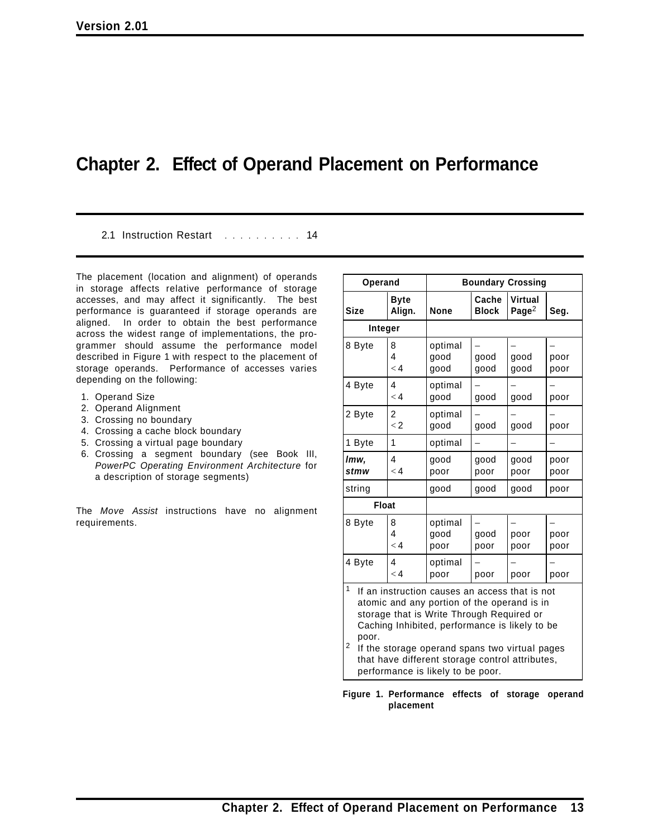# **Chapter 2. Effect of Operand Placement on Performance**

2.1 Instruction Restart .......... 14

The placement (location and alignment) of operands in storage affects relative performance of storage accesses, and may affect it significantly. The best performance is guaranteed if storage operands are aligned. In order to obtain the best performance across the widest range of implementations, the programmer should assume the performance model described in Figure 1 with respect to the placement of storage operands. Performance of accesses varies depending on the following:

- 1. Operand Size
- 2. Operand Alignment
- 3. Crossing no boundary
- 4. Crossing a cache block boundary
- 5. Crossing a virtual page boundary
- 6. Crossing a segment boundary (see Book III, *PowerPC Operating Environment Architecture* for a description of storage segments)

The *Move Assist* instructions have no alignment requirements.

| Operand                                                                                                                                                                                                                                                                                                                                                   |                           | <b>Boundary Crossing</b> |                       |                            |              |
|-----------------------------------------------------------------------------------------------------------------------------------------------------------------------------------------------------------------------------------------------------------------------------------------------------------------------------------------------------------|---------------------------|--------------------------|-----------------------|----------------------------|--------------|
| <b>Size</b>                                                                                                                                                                                                                                                                                                                                               | <b>Byte</b><br>Align.     | <b>None</b>              | Cache<br><b>Block</b> | <b>Virtual</b><br>Page $2$ | Seg.         |
| Integer                                                                                                                                                                                                                                                                                                                                                   |                           |                          |                       |                            |              |
| 8 Byte                                                                                                                                                                                                                                                                                                                                                    | 8<br>4<br>$\lt 4$         | optimal<br>good<br>qood  | good<br>good          | good<br>good               | poor<br>poor |
| 4 Byte                                                                                                                                                                                                                                                                                                                                                    | 4<br>$\lt 4$              | optimal<br>good          | good                  | good                       | poor         |
| 2 Byte                                                                                                                                                                                                                                                                                                                                                    | 2<br>$\lt 2$              | optimal<br>qood          | good                  | good                       | poor         |
| 1 Byte                                                                                                                                                                                                                                                                                                                                                    | 1                         | optimal                  |                       |                            |              |
| lmw.<br>stmw                                                                                                                                                                                                                                                                                                                                              | 4<br>$\lt 4$              | good<br>poor             | good<br>poor          | good<br>poor               | poor<br>poor |
| string                                                                                                                                                                                                                                                                                                                                                    |                           | good                     | good                  | good                       | poor         |
| <b>Float</b>                                                                                                                                                                                                                                                                                                                                              |                           |                          |                       |                            |              |
| 8 Byte                                                                                                                                                                                                                                                                                                                                                    | 8<br>4<br>$\lt 4$         | optimal<br>good<br>poor  | good<br>poor          | poor<br>poor               | poor<br>poor |
| 4 Byte                                                                                                                                                                                                                                                                                                                                                    | $\overline{4}$<br>$\lt 4$ | optimal<br>poor          | poor                  | poor                       | poor         |
| 1<br>If an instruction causes an access that is not<br>atomic and any portion of the operand is in<br>storage that is Write Through Required or<br>Caching Inhibited, performance is likely to be<br>poor.<br>2<br>If the storage operand spans two virtual pages<br>that have different storage control attributes,<br>performance is likely to be poor. |                           |                          |                       |                            |              |

**Figure 1. Performance effects of storage operand placement**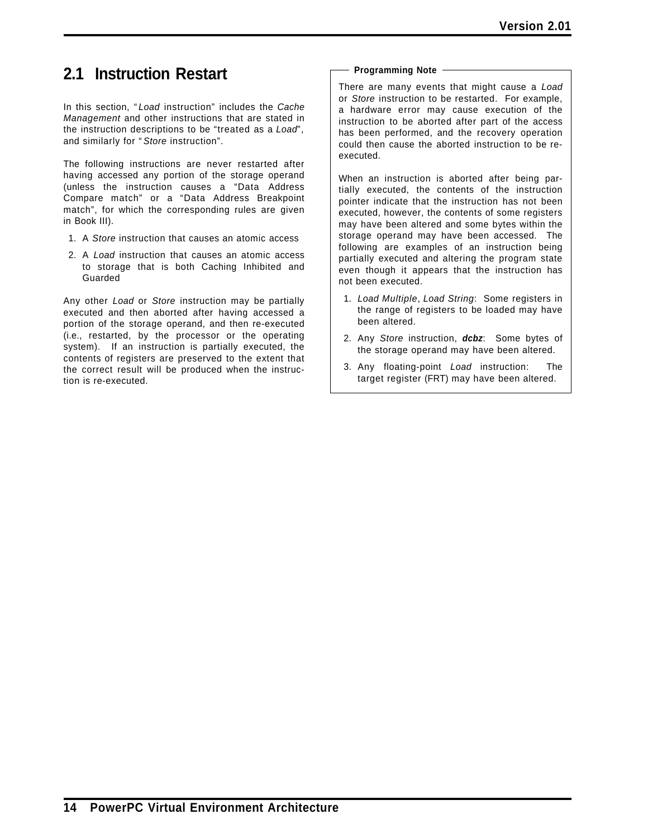# **2.1 Instruction Restart**

In this section, " *Load* instruction" includes the *Cache Management* and other instructions that are stated in the instruction descriptions to be "treated as a *Load*", and similarly for " *Store* instruction".

The following instructions are never restarted after having accessed any portion of the storage operand (unless the instruction causes a "Data Address Compare match" or a "Data Address Breakpoint match", for which the corresponding rules are given in Book III).

- 1. A *Store* instruction that causes an atomic access
- 2. A *Load* instruction that causes an atomic access to storage that is both Caching Inhibited and Guarded

Any other *Load* or *Store* instruction may be partially executed and then aborted after having accessed a portion of the storage operand, and then re-executed (i.e., restarted, by the processor or the operating system). If an instruction is partially executed, the contents of registers are preserved to the extent that the correct result will be produced when the instruction is re-executed.

### **Programming Note**

There are many events that might cause a *Load* or *Store* instruction to be restarted. For example, a hardware error may cause execution of the instruction to be aborted after part of the access has been performed, and the recovery operation could then cause the aborted instruction to be reexecuted.

When an instruction is aborted after being partially executed, the contents of the instruction pointer indicate that the instruction has not been executed, however, the contents of some registers may have been altered and some bytes within the storage operand may have been accessed. The following are examples of an instruction being partially executed and altering the program state even though it appears that the instruction has not been executed.

- 1. *Load Multiple*, *Load String*: Some registers in the range of registers to be loaded may have been altered.
- 2. Any *Store* instruction, *dcbz*: Some bytes of the storage operand may have been altered.
- 3. Any floating-point *Load* instruction: The target register (FRT) may have been altered.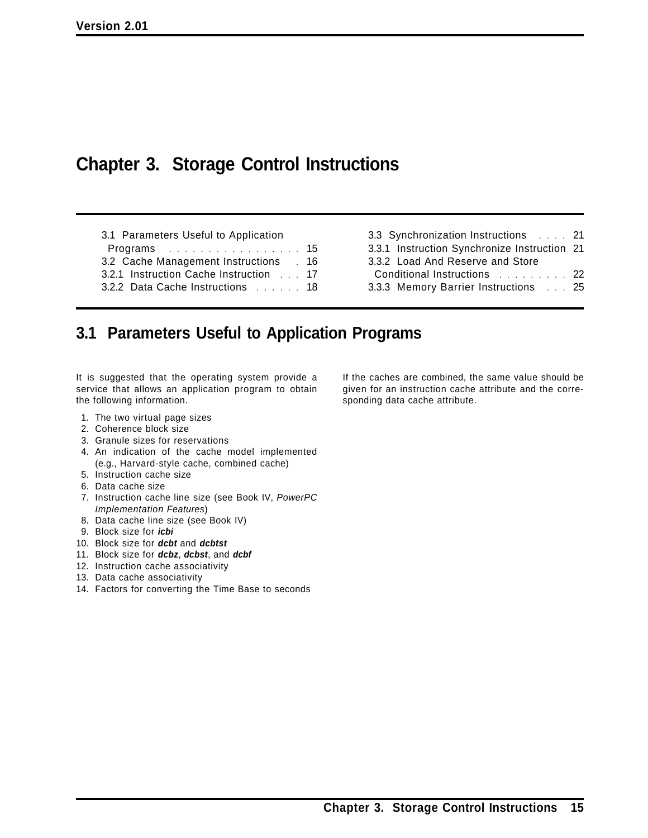# **Chapter 3. Storage Control Instructions**

- 3.1 Parameters Useful to Application
- Programs . . . . . . . . . . . . . . . . . 15
- 3.2 Cache Management Instructions . 16
- 3.2.1 Instruction Cache Instruction ... 17
- 3.2.2 Data Cache Instructions ...... 18
- 3.3 Synchronization Instructions .... 21 3.3.1 Instruction Synchronize Instruction 21 3.3.2 Load And Reserve and Store
- Conditional Instructions .......... 22
- 3.3.3 Memory Barrier Instructions ... 25

# **3.1 Parameters Useful to Application Programs**

It is suggested that the operating system provide a service that allows an application program to obtain the following information.

- 1. The two virtual page sizes
- 2. Coherence block size
- 3. Granule sizes for reservations
- 4. An indication of the cache model implemented (e.g., Harvard-style cache, combined cache)
- 5. Instruction cache size
- 6. Data cache size
- 7. Instruction cache line size (see Book IV, *PowerPC Implementation Features*)
- 8. Data cache line size (see Book IV)
- 9. Block size for *icbi*
- 10. Block size for *dcbt* and *dcbtst*
- 11. Block size for *dcbz*, *dcbst*, and *dcbf*
- 12. Instruction cache associativity
- 13. Data cache associativity
- 14. Factors for converting the Time Base to seconds

If the caches are combined, the same value should be given for an instruction cache attribute and the corresponding data cache attribute.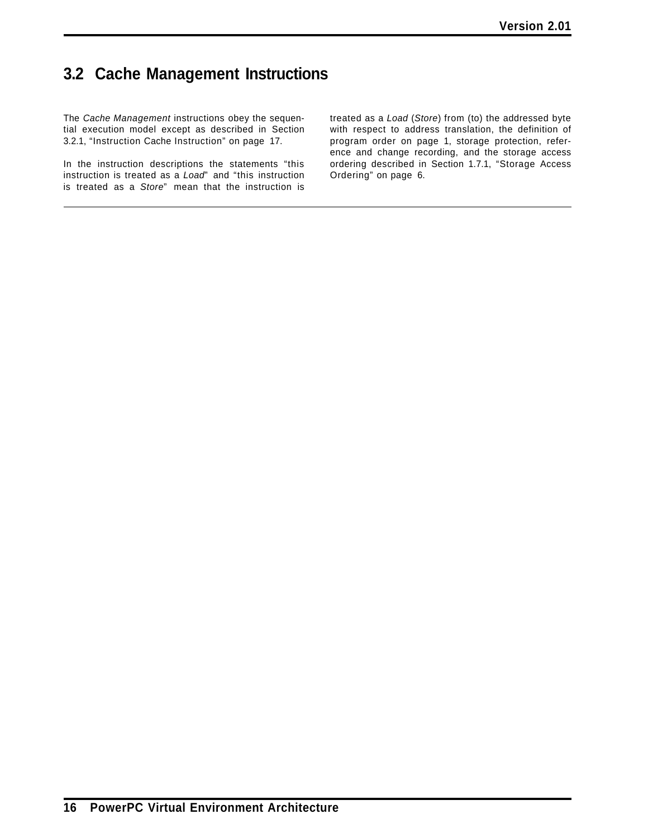# **3.2 Cache Management Instructions**

The *Cache Management* instructions obey the sequential execution model except as described in Section 3.2.1, "Instruction Cache Instruction" on page 17.

In the instruction descriptions the statements "this instruction is treated as a *Load*" and "this instruction is treated as a *Store*" mean that the instruction is

treated as a *Load* (*Store*) from (to) the addressed byte with respect to address translation, the definition of program order on page 1, storage protection, reference and change recording, and the storage access ordering described in Section 1.7.1, "Storage Access Ordering" on page 6.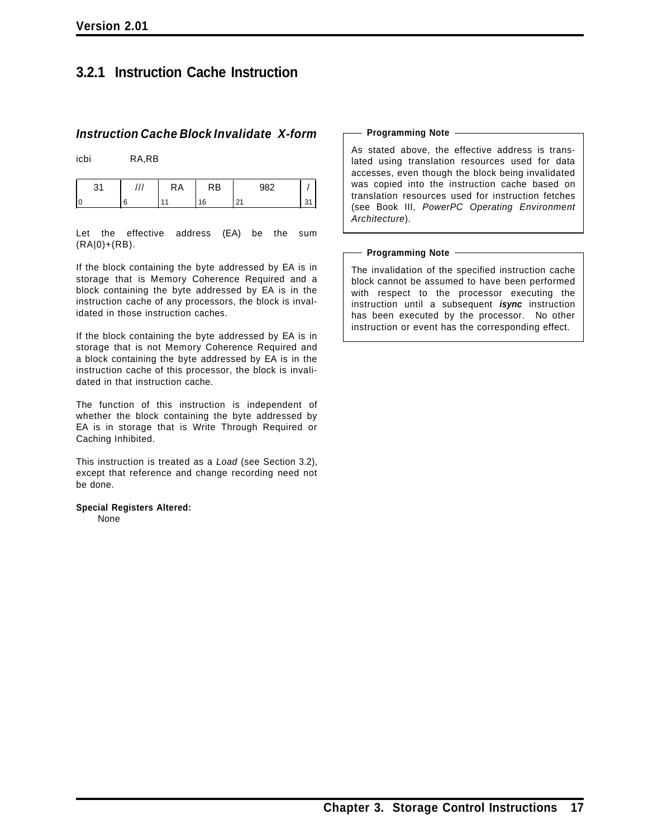### **3.2.1 Instruction Cache Instruction**

### *Instruction Cache Block Invalidate X-form*

icbi RA,RB

| n, | ٢A | RB  | റാറ    |   |
|----|----|-----|--------|---|
|    |    | ء َ | $\sim$ | ∼ |

Let the effective address (EA) be the sum (RA|0)+(RB).

If the block containing the byte addressed by EA is in storage that is Memory Coherence Required and a block containing the byte addressed by EA is in the instruction cache of any processors, the block is invalidated in those instruction caches.

If the block containing the byte addressed by EA is in storage that is not Memory Coherence Required and a block containing the byte addressed by EA is in the instruction cache of this processor, the block is invalidated in that instruction cache.

The function of this instruction is independent of whether the block containing the byte addressed by EA is in storage that is Write Through Required or Caching Inhibited.

This instruction is treated as a *Load* (see Section 3.2), except that reference and change recording need not be done.

**Special Registers Altered:** None

#### **Programming Note**

As stated above, the effective address is translated using translation resources used for data accesses, even though the block being invalidated was copied into the instruction cache based on translation resources used for instruction fetches (see Book III, *PowerPC Operating Environment Architecture*).

#### **Programming Note**

The invalidation of the specified instruction cache block cannot be assumed to have been performed with respect to the processor executing the instruction until a subsequent *isync* instruction has been executed by the processor. No other instruction or event has the corresponding effect.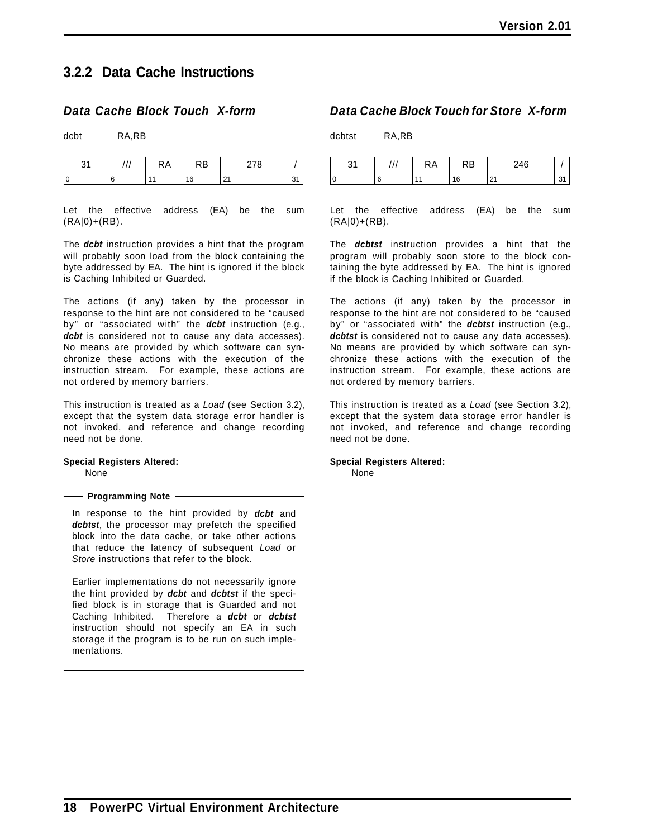### **3.2.2 Data Cache Instructions**

### *Data Cache Block Touch X-form*

dcbt RA,RB

| ີ  | КA | .KD        | $\overline{\phantom{a}}$<br>. . |  |
|----|----|------------|---------------------------------|--|
| ١c |    | $\epsilon$ | ۰.                              |  |

Let the effective address (EA) be the sum (RA|0)+(RB).

The *dcbt* instruction provides a hint that the program will probably soon load from the block containing the byte addressed by EA. The hint is ignored if the block is Caching Inhibited or Guarded.

The actions (if any) taken by the processor in response to the hint are not considered to be "caused by" or "associated with" the *dcbt* instruction (e.g., dcbt is considered not to cause any data accesses). No means are provided by which software can synchronize these actions with the execution of the instruction stream. For example, these actions are not ordered by memory barriers.

This instruction is treated as a *Load* (see Section 3.2), except that the system data storage error handler is not invoked, and reference and change recording need not be done.

### **Special Registers Altered:**

None

### **Programming Note**

In response to the hint provided by *dcbt* and dcbtst, the processor may prefetch the specified block into the data cache, or take other actions that reduce the latency of subsequent *Load* or *Store* instructions that refer to the block.

Earlier implementations do not necessarily ignore the hint provided by *dcbt* and *dcbtst* if the specified block is in storage that is Guarded and not Caching Inhibited. Therefore a *dcbt* or *dcbtst* instruction should not specify an EA in such storage if the program is to be run on such implementations.

### *Data Cache Block Touch for Store X-form*

dcbtst RA,RB

| ົາ 4 | КΑ | ĸo | 246                  |  |
|------|----|----|----------------------|--|
|      |    | 16 | $\sim$<br><u> 41</u> |  |

Let the effective address (EA) be the sum (RA|0)+(RB).

The *dcbtst* instruction provides a hint that the program will probably soon store to the block containing the byte addressed by EA. The hint is ignored if the block is Caching Inhibited or Guarded.

The actions (if any) taken by the processor in response to the hint are not considered to be "caused by" or "associated with" the *dcbtst* instruction (e.g., dcbtst is considered not to cause any data accesses). No means are provided by which software can synchronize these actions with the execution of the instruction stream. For example, these actions are not ordered by memory barriers.

This instruction is treated as a *Load* (see Section 3.2), except that the system data storage error handler is not invoked, and reference and change recording need not be done.

### **Special Registers Altered:**

None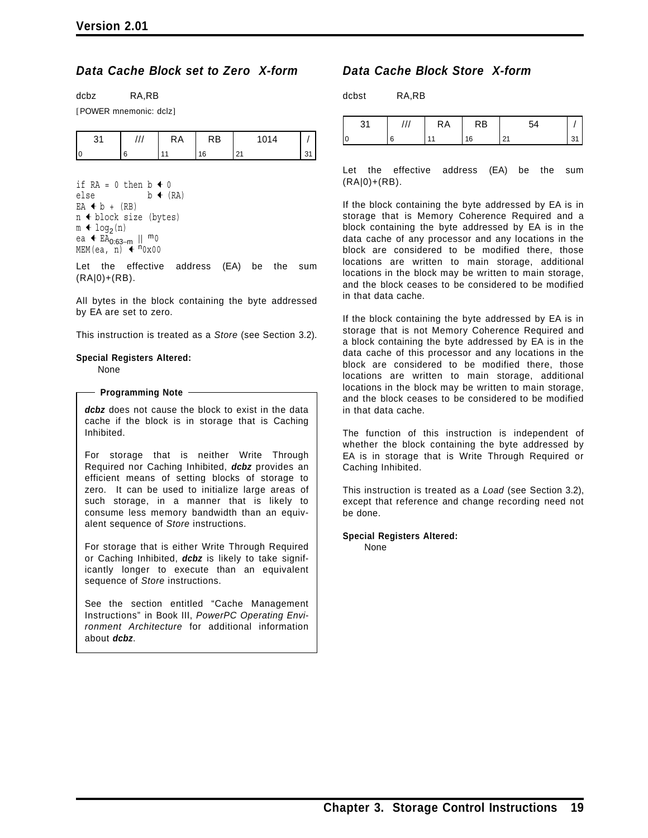### *Data Cache Block set to Zero X-form*

| dcbz | RA,RB |
|------|-------|
|      |       |

[POWER mnemonic: dclz]

|  | $\mathbf{u}$<br>היו | κB<br>$\overline{\phantom{0}}$ | . |  |
|--|---------------------|--------------------------------|---|--|
|  |                     |                                | n |  |

if  $RA = 0$  then  $b \triangleleft 0$ else  $b \leftarrow (RA)$  $EA + b + (RB)$  $n \triangleleft$  block size (bytes)  $m \triangleleft log_2(n)$ ea ← EA<sub>0:63−m</sub> || <sup>m</sup>0 MEM(ea,  $\overline{n}$ )  $\overline{4}$   $n_{0x00}$ 

Let the effective address (EA) be the sum (RA|0)+(RB).

All bytes in the block containing the byte addressed by EA are set to zero.

This instruction is treated as a *Store* (see Section 3.2).

#### **Special Registers Altered:**

None

**Programming Note**

*dcbz* does not cause the block to exist in the data cache if the block is in storage that is Caching Inhibited.

For storage that is neither Write Through Required nor Caching Inhibited, *dcbz* provides an efficient means of setting blocks of storage to zero. It can be used to initialize large areas of such storage, in a manner that is likely to consume less memory bandwidth than an equivalent sequence of *Store* instructions.

For storage that is either Write Through Required or Caching Inhibited, *dcbz* is likely to take significantly longer to execute than an equivalent sequence of *Store* instructions.

See the section entitled "Cache Management Instructions" in Book III, *PowerPC Operating Environment Architecture* for additional information about *dcbz*.

### *Data Cache Block Store X-form*

dcbst RA,RB

|    | КA | RB |  |
|----|----|----|--|
| ١c |    | 16 |  |

Let the effective address (EA) be the sum  $(RA|0)+(RB)$ .

If the block containing the byte addressed by EA is in storage that is Memory Coherence Required and a block containing the byte addressed by EA is in the data cache of any processor and any locations in the block are considered to be modified there, those locations are written to main storage, additional locations in the block may be written to main storage, and the block ceases to be considered to be modified in that data cache.

If the block containing the byte addressed by EA is in storage that is not Memory Coherence Required and a block containing the byte addressed by EA is in the data cache of this processor and any locations in the block are considered to be modified there, those locations are written to main storage, additional locations in the block may be written to main storage, and the block ceases to be considered to be modified in that data cache.

The function of this instruction is independent of whether the block containing the byte addressed by EA is in storage that is Write Through Required or Caching Inhibited.

This instruction is treated as a *Load* (see Section 3.2), except that reference and change recording need not be done.

#### **Special Registers Altered:** None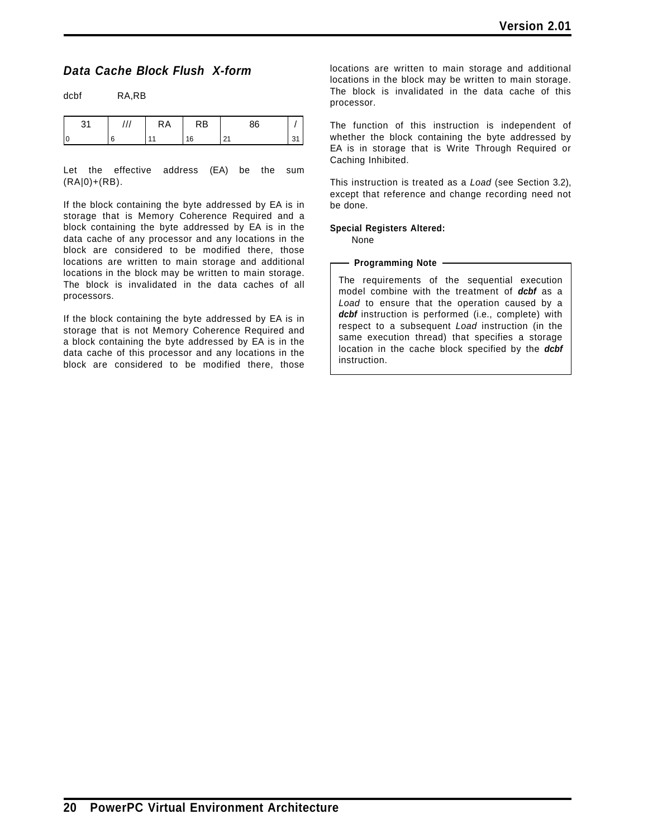### *Data Cache Block Flush X-form*

dcbf RA,RB

| 24<br>ا ب | ,,, | <b>RA</b> | <b>RB</b> | 86 |    |
|-----------|-----|-----------|-----------|----|----|
|           | 6   | 44        | 16        | n, | 31 |

Let the effective address (EA) be the sum (RA|0)+(RB).

If the block containing the byte addressed by EA is in storage that is Memory Coherence Required and a block containing the byte addressed by EA is in the data cache of any processor and any locations in the block are considered to be modified there, those locations are written to main storage and additional locations in the block may be written to main storage. The block is invalidated in the data caches of all processors.

If the block containing the byte addressed by EA is in storage that is not Memory Coherence Required and a block containing the byte addressed by EA is in the data cache of this processor and any locations in the block are considered to be modified there, those locations are written to main storage and additional locations in the block may be written to main storage. The block is invalidated in the data cache of this processor.

The function of this instruction is independent of whether the block containing the byte addressed by EA is in storage that is Write Through Required or Caching Inhibited.

This instruction is treated as a *Load* (see Section 3.2), except that reference and change recording need not be done.

### **Special Registers Altered:**

None

#### - Programming Note -

The requirements of the sequential execution model combine with the treatment of *dcbf* as a *Load* to ensure that the operation caused by a dcbf instruction is performed (i.e., complete) with respect to a subsequent *Load* instruction (in the same execution thread) that specifies a storage location in the cache block specified by the *dcbf* instruction.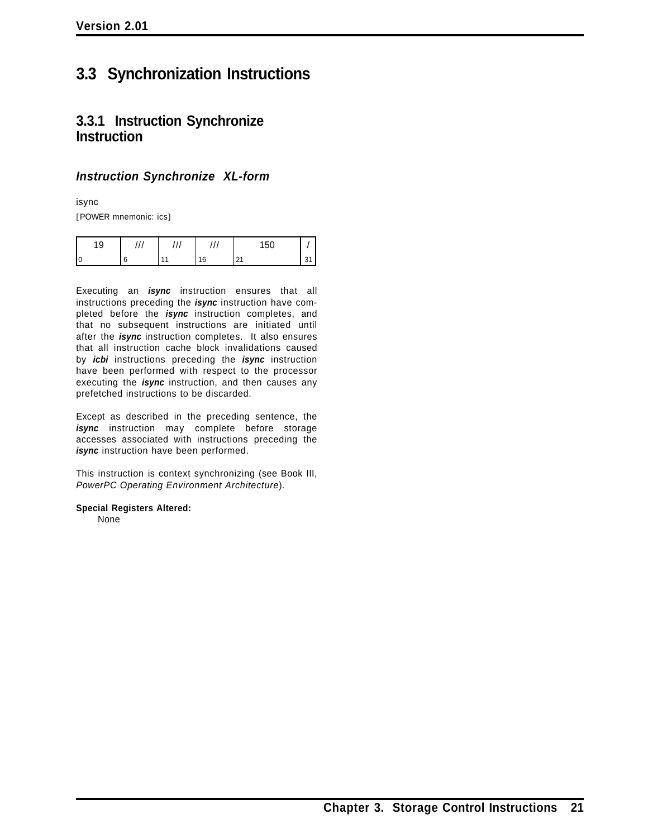# **3.3 Synchronization Instructions**

### **3.3.1 Instruction Synchronize Instruction**

### *Instruction Synchronize XL-form*

isync

[POWER mnemonic: ics]

| ∩<br>ູ |  |     | 150<br>ັບບ |   |
|--------|--|-----|------------|---|
|        |  | ' 6 |            | ັ |

Executing an *isync* instruction ensures that all instructions preceding the *isync* instruction have completed before the *isync* instruction completes, and that no subsequent instructions are initiated until after the *isync* instruction completes. It also ensures that all instruction cache block invalidations caused by *icbi* instructions preceding the *isync* instruction have been performed with respect to the processor executing the *isync* instruction, and then causes any prefetched instructions to be discarded.

Except as described in the preceding sentence, the *isync* instruction may complete before storage accesses associated with instructions preceding the *isync* instruction have been performed.

This instruction is context synchronizing (see Book III, *PowerPC Operating Environment Architecture*).

**Special Registers Altered:**

None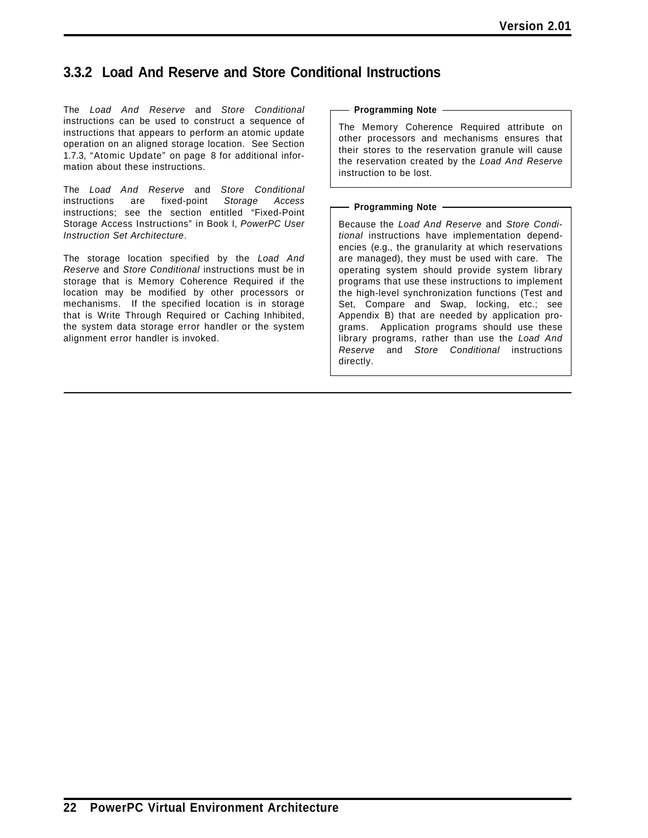## **3.3.2 Load And Reserve and Store Conditional Instructions**

The *Load And Reserve* and *Store Conditional* instructions can be used to construct a sequence of instructions that appears to perform an atomic update operation on an aligned storage location. See Section 1.7.3, "Atomic Update" on page 8 for additional information about these instructions.

The *Load And Reserve* and *Store Conditional* instructions are fixed-point *Storage Access* instructions; see the section entitled "Fixed-Point Storage Access Instructions" in Book I, *PowerPC User Instruction Set Architecture*.

The storage location specified by the *Load And Reserve* and *Store Conditional* instructions must be in storage that is Memory Coherence Required if the location may be modified by other processors or mechanisms. If the specified location is in storage that is Write Through Required or Caching Inhibited, the system data storage error handler or the system alignment error handler is invoked.

### **Programming Note**

The Memory Coherence Required attribute on other processors and mechanisms ensures that their stores to the reservation granule will cause the reservation created by the *Load And Reserve* instruction to be lost.

#### **Programming Note**

Because the *Load And Reserve* and *Store Conditional* instructions have implementation dependencies (e.g., the granularity at which reservations are managed), they must be used with care. The operating system should provide system library programs that use these instructions to implement the high-level synchronization functions (Test and Set, Compare and Swap, locking, etc.; see Appendix B) that are needed by application programs. Application programs should use these library programs, rather than use the *Load And Reserve* and *Store Conditional* instructions directly.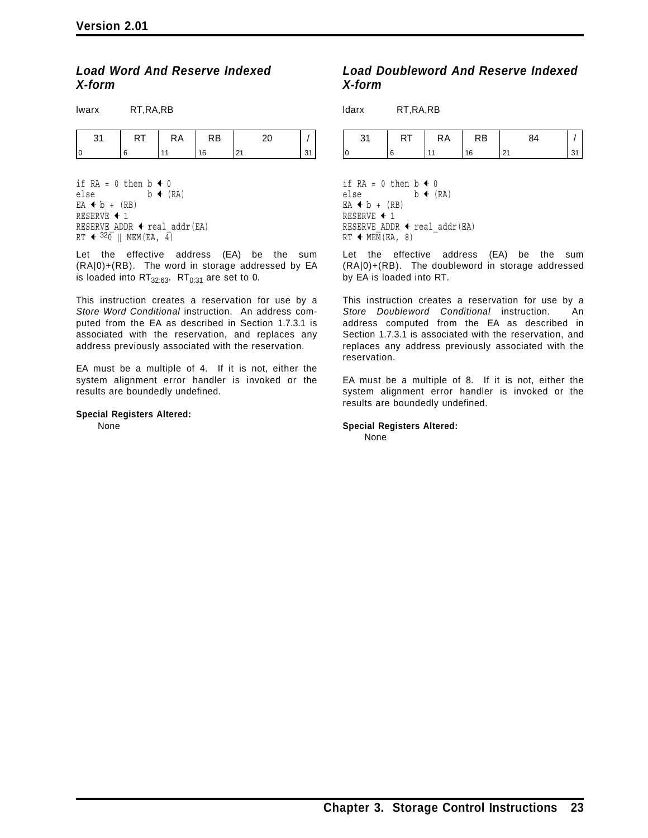### *Load Word And Reserve Indexed X-form*

| Iwarx | RT, RA, RB |    |           |    |    |
|-------|------------|----|-----------|----|----|
| 31    | RT         | RA | <b>RB</b> | 20 |    |
|       | 6          | 11 | 16        | 21 | 31 |

if  $RA = 0$  then  $b \triangleleft 0$ else  $b \leftarrow (RA)$  $EA + b + (RB)$ RESERVE  $\textbf{+}$  1 RESERVE ADDR  $\triangleleft$  real addr(EA) RT  $\leftarrow$  320 || MEM(EA, 4)

Let the effective address (EA) be the sum (RA|0)+(RB). The word in storage addressed by EA is loaded into  $RT_{32:63}$ .  $RT_{0:31}$  are set to 0.

This instruction creates a reservation for use by a *Store Word Conditional* instruction. An address computed from the EA as described in Section 1.7.3.1 is associated with the reservation, and replaces any address previously associated with the reservation.

EA must be a multiple of 4. If it is not, either the system alignment error handler is invoked or the results are boundedly undefined.

#### **Special Registers Altered:**

None

### *Load Doubleword And Reserve Indexed X-form*

ldarx RT,RA,RB

|  | . . | <b>RA</b> | κB |   |  |
|--|-----|-----------|----|---|--|
|  |     |           |    | . |  |

if RA = 0 then  $b \leftarrow 0$ else  $b \leftarrow (RA)$  $EA + b + (RB)$ RESERVE  $\textbf{+}$  1 RESERVE ADDR  $\triangleleft$  real addr(EA)  $RT$   $\leftarrow$  MEM(EA, 8)

Let the effective address (EA) be the sum (RA|0)+(RB). The doubleword in storage addressed by EA is loaded into RT.

This instruction creates a reservation for use by a *Store Doubleword Conditional* instruction. An address computed from the EA as described in Section 1.7.3.1 is associated with the reservation, and replaces any address previously associated with the reservation.

EA must be a multiple of 8. If it is not, either the system alignment error handler is invoked or the results are boundedly undefined.

**Special Registers Altered:**

None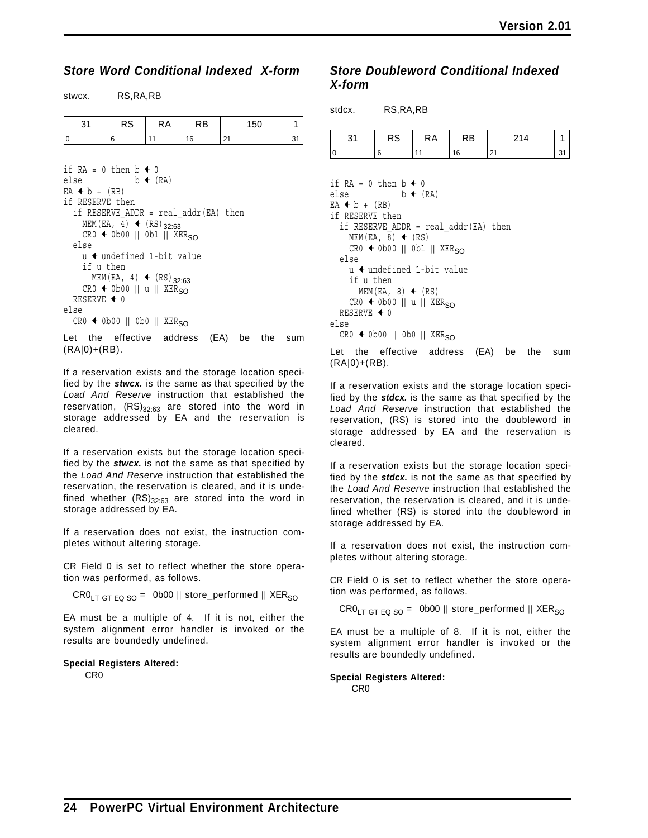### *Store Word Conditional Indexed X-form*

stwcx. RS,RA,RB

| RS | КA | RB | 150 |  |
|----|----|----|-----|--|
|    |    |    | . . |  |

```
if RA = 0 then b \triangleleft 0else b \leftarrow (RA)EA + b + (RB)if RESERVE then
   if RESERVE ADDR = real addr(EA) then
      MEM(EA, 4) \leftarrow (RS)<sub>32:63</sub>
     CR0 \leftarrow Ob00 || Ob1 || XER<sub>SO</sub>else
      u \leftarrow undefined 1-bit value
      if u then
        MEM(EA, 4) \leftarrow (RS)<sub>32:63</sub>
      CR0 \leftarrow Ob00 || u || XER<sub>SO</sub>RESERVE \triangleleft 0
else
   CR0 \leftarrow Ob00 || Ob0 || XER<sub>SO</sub>
```
Let the effective address (EA) be the sum  $(RA|0)+(RB)$ .

If a reservation exists and the storage location specified by the *stwcx.* is the same as that specified by the *Load And Reserve* instruction that established the reservation,  $(RS)_{32:63}$  are stored into the word in storage addressed by EA and the reservation is cleared.

If a reservation exists but the storage location specified by the *stwcx.* is not the same as that specified by the *Load And Reserve* instruction that established the reservation, the reservation is cleared, and it is undefined whether  $(RS)_{32:63}$  are stored into the word in storage addressed by EA.

If a reservation does not exist, the instruction completes without altering storage.

CR Field 0 is set to reflect whether the store operation was performed, as follows.

 $CRO<sub>LT GT EQ SO</sub> = 0b00 || store_perrformed || XER<sub>SO</sub>$ 

EA must be a multiple of 4. If it is not, either the system alignment error handler is invoked or the results are boundedly undefined.

### **Special Registers Altered:**

CR0

### *Store Doubleword Conditional Indexed X-form*

| stdcx. RS, RA, RB                                                                                     |                                                                                                                                                                                                                                              |                     |    |     |    |
|-------------------------------------------------------------------------------------------------------|----------------------------------------------------------------------------------------------------------------------------------------------------------------------------------------------------------------------------------------------|---------------------|----|-----|----|
| 31                                                                                                    | RS                                                                                                                                                                                                                                           | RA                  | RB | 214 | 1  |
|                                                                                                       | 6                                                                                                                                                                                                                                            | 11                  | 16 | 21  | 31 |
| if RA = 0 then $b \triangleleft 0$<br>else<br>$EA + b + (RB)$<br>if RESERVE then<br>else<br>if u then | if RESERVE ADDR = real addr(EA) then<br>MEM(EA, 8) $\triangleleft$ (RS)<br>$CR0 \leftarrow Ob00$    0b1    XER <sub>SO</sub><br>u 4 undefined 1-bit value<br>MEM(EA, 8) $\leftarrow$ (RS)<br>$CR0 \leftarrow Ob00$    u    XER <sub>SO</sub> | $b \leftarrow (RA)$ |    |     |    |

RESERVE  $\triangleleft$  0 else  $CR0 \leftarrow Ob00 || Ob0 || XER<sub>SO</sub>$ 

Let the effective address (EA) be the sum  $(RA|0)+(RB)$ .

If a reservation exists and the storage location specified by the *stdcx.* is the same as that specified by the *Load And Reserve* instruction that established the reservation, (RS) is stored into the doubleword in storage addressed by EA and the reservation is cleared.

If a reservation exists but the storage location specified by the *stdcx.* is not the same as that specified by the *Load And Reserve* instruction that established the reservation, the reservation is cleared, and it is undefined whether (RS) is stored into the doubleword in storage addressed by EA.

If a reservation does not exist, the instruction completes without altering storage.

CR Field 0 is set to reflect whether the store operation was performed, as follows.

 $CRO<sub>LT GT EQ SO</sub> = 0b00 || store_perrformed || XER<sub>SO</sub>$ 

EA must be a multiple of 8. If it is not, either the system alignment error handler is invoked or the results are boundedly undefined.

### **Special Registers Altered:**

CR0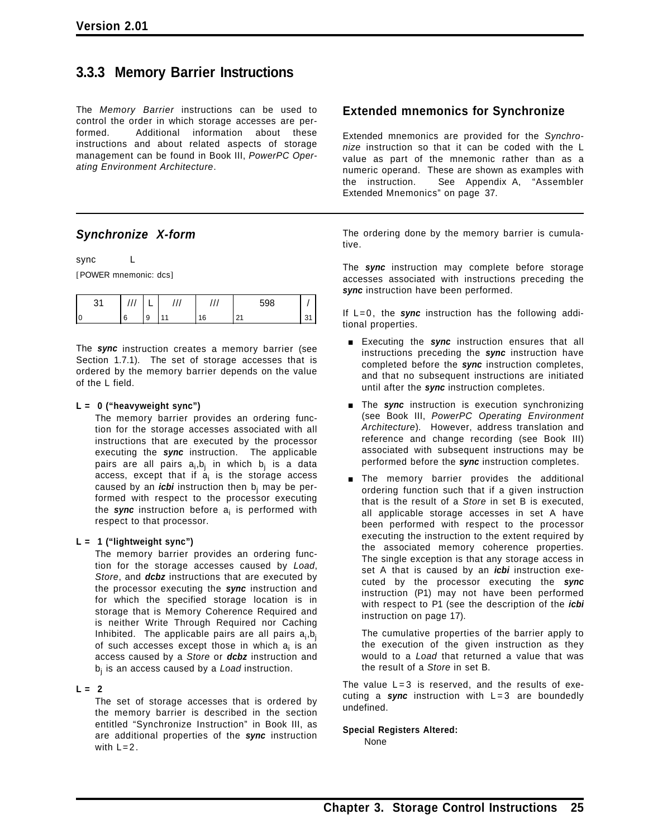### **3.3.3 Memory Barrier Instructions**

The *Memory Barrier* instructions can be used to control the order in which storage accesses are performed. Additional information about these instructions and about related aspects of storage management can be found in Book III, *PowerPC Operating Environment Architecture*.

### *Synchronize X-form*

sync L

[POWER mnemonic: dcs]

|  |        |  | cno |  |
|--|--------|--|-----|--|
|  | a<br>× |  |     |  |

The *sync* instruction creates a memory barrier (see Section 1.7.1). The set of storage accesses that is ordered by the memory barrier depends on the value of the L field.

### **L = 0 ("heavyweight sync")**

The memory barrier provides an ordering function for the storage accesses associated with all instructions that are executed by the processor executing the *sync* instruction. The applicable pairs are all pairs a<sub>i</sub>,b<sub>j</sub> in which b<sub>j</sub> is a data access, except that if  $a_i$  is the storage access caused by an *icbi* instruction then b<sub>i</sub> may be performed with respect to the processor executing the **sync** instruction before a<sub>i</sub> is performed with respect to that processor.

### **L = 1 ("lightweight sync")**

The memory barrier provides an ordering function for the storage accesses caused by *Load*, *Store*, and *dcbz* instructions that are executed by the processor executing the *sync* instruction and for which the specified storage location is in storage that is Memory Coherence Required and is neither Write Through Required nor Caching Inhibited. The applicable pairs are all pairs  $a_i$ ,b<sub>j</sub> of such accesses except those in which  $a_i$  is an access caused by a *Store* or *dcbz* instruction and bj is an access caused by a *Load* instruction.

### $L = 2$

The set of storage accesses that is ordered by the memory barrier is described in the section entitled "Synchronize Instruction" in Book III, as are additional properties of the *sync* instruction with  $L=2$ .

### **Extended mnemonics for Synchronize**

Extended mnemonics are provided for the *Synchronize* instruction so that it can be coded with the L value as part of the mnemonic rather than as a numeric operand. These are shown as examples with the instruction. See Appendix A, "Assembler Extended Mnemonics" on page 37.

The ordering done by the memory barrier is cumulative.

The *sync* instruction may complete before storage accesses associated with instructions preceding the *sync* instruction have been performed.

If L=0, the *sync* instruction has the following additional properties.

- **Executing the sync instruction ensures that all** instructions preceding the *sync* instruction have completed before the *sync* instruction completes, and that no subsequent instructions are initiated until after the *sync* instruction completes.
- **The** *sync* instruction is execution synchronizing (see Book III, *PowerPC Operating Environment Architecture*). However, address translation and reference and change recording (see Book III) associated with subsequent instructions may be performed before the *sync* instruction completes.
- **The memory barrier provides the additional** ordering function such that if a given instruction that is the result of a *Store* in set B is executed, all applicable storage accesses in set A have been performed with respect to the processor executing the instruction to the extent required by the associated memory coherence properties. The single exception is that any storage access in set A that is caused by an *icbi* instruction executed by the processor executing the *sync* instruction (P1) may not have been performed with respect to P1 (see the description of the *icbi* instruction on page 17).

The cumulative properties of the barrier apply to the execution of the given instruction as they would to a *Load* that returned a value that was the result of a *Store* in set B.

The value  $L = 3$  is reserved, and the results of executing a *sync* instruction with L=3 are boundedly undefined.

### **Special Registers Altered:**

None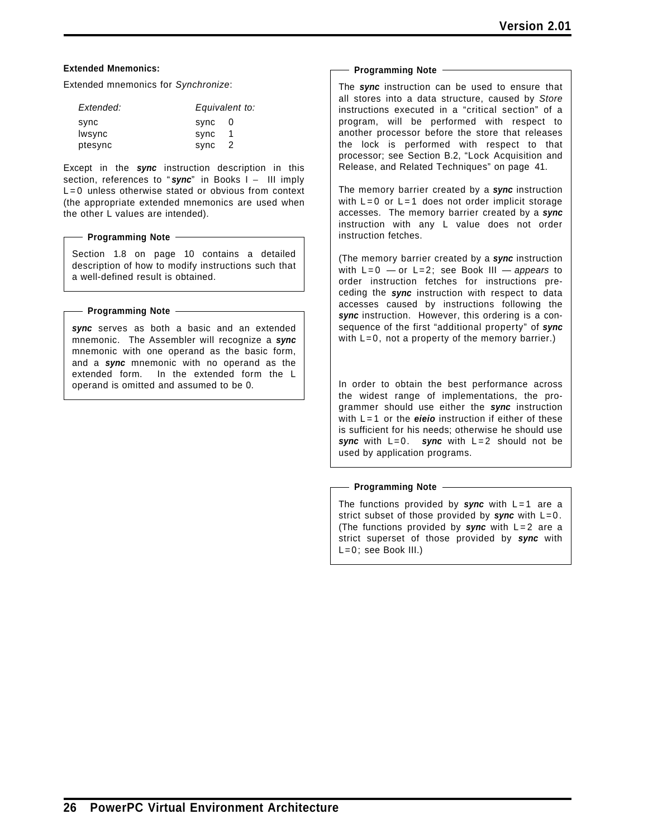### **Extended Mnemonics:**

Extended mnemonics for *Synchronize*:

| Extended: | Equivalent to: |                |
|-----------|----------------|----------------|
| sync      | sync           | -0             |
| Iwsync    | sync           |                |
| ptesync   | sync           | $\overline{2}$ |

Except in the *sync* instruction description in this section, references to "sync" in Books I - III imply  $L = 0$  unless otherwise stated or obvious from context (the appropriate extended mnemonics are used when the other L values are intended).

#### **Programming Note**

Section 1.8 on page 10 contains a detailed description of how to modify instructions such that a well-defined result is obtained.

#### **Programming Note**

*sync* serves as both a basic and an extended mnemonic. The Assembler will recognize a *sync* mnemonic with one operand as the basic form, and a *sync* mnemonic with no operand as the extended form. In the extended form the L operand is omitted and assumed to be 0.

#### **Programming Note**

The *sync* instruction can be used to ensure that all stores into a data structure, caused by *Store* instructions executed in a "critical section" of a program, will be performed with respect to another processor before the store that releases the lock is performed with respect to that processor; see Section B.2, "Lock Acquisition and Release, and Related Techniques" on page 41.

The memory barrier created by a *sync* instruction with  $L=0$  or  $L=1$  does not order implicit storage accesses. The memory barrier created by a *sync* instruction with any L value does not order instruction fetches.

(The memory barrier created by a *sync* instruction with L=0 — or L=2; see Book III — *appears* to order instruction fetches for instructions preceding the *sync* instruction with respect to data accesses caused by instructions following the *sync* instruction. However, this ordering is a consequence of the first "additional property" of *sync* with  $L=0$ , not a property of the memory barrier.)

In order to obtain the best performance across the widest range of implementations, the programmer should use either the *sync* instruction with L=1 or the *eieio* instruction if either of these is sufficient for his needs; otherwise he should use *sync* with L=0. *sync* with L=2 should not be used by application programs.

#### **Programming Note**

The functions provided by *sync* with L=1 are a strict subset of those provided by *sync* with L=0. (The functions provided by *sync* with L=2 are a strict superset of those provided by *sync* with L=0; see Book III.)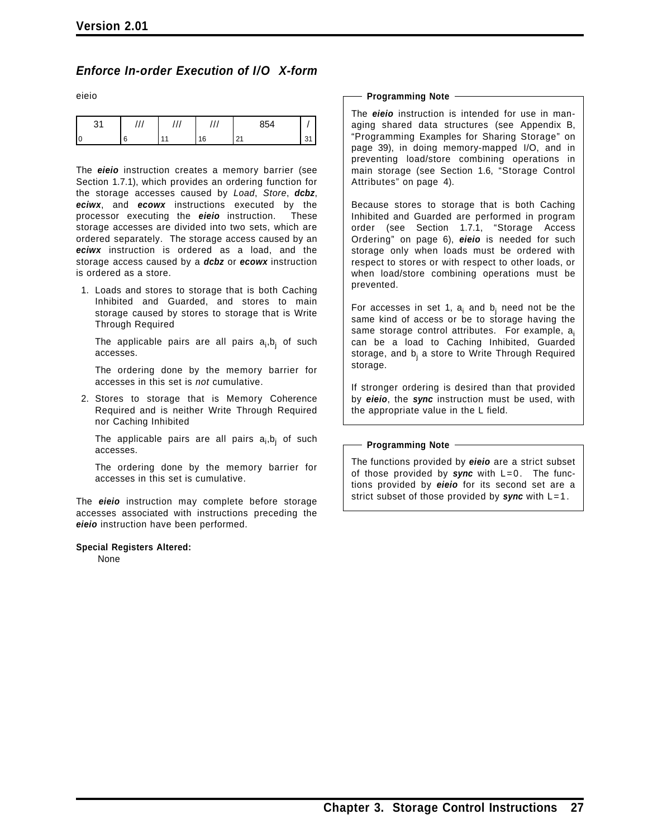### *Enforce In-order Execution of I/O X-form*

eieio

| ັ |  | $^{\prime}$<br>$\cdot$ | 854                    |   |
|---|--|------------------------|------------------------|---|
|   |  | 16                     | $\Omega$<br><u>_ .</u> | ັ |

The *eieio* instruction creates a memory barrier (see Section 1.7.1), which provides an ordering function for the storage accesses caused by *Load*, *Store*, *dcbz*, *eciwx*, and *ecowx* instructions executed by the processor executing the *eieio* instruction. These storage accesses are divided into two sets, which are ordered separately. The storage access caused by an *eciwx* instruction is ordered as a load, and the storage access caused by a *dcbz* or *ecowx* instruction is ordered as a store.

1. Loads and stores to storage that is both Caching Inhibited and Guarded, and stores to main storage caused by stores to storage that is Write Through Required

The applicable pairs are all pairs a<sub>i</sub>,b<sub>j</sub> of such accesses.

The ordering done by the memory barrier for accesses in this set is *not* cumulative.

2. Stores to storage that is Memory Coherence Required and is neither Write Through Required nor Caching Inhibited

The applicable pairs are all pairs a<sub>i</sub>,b<sub>j</sub> of such accesses.

The ordering done by the memory barrier for accesses in this set is cumulative.

The *eieio* instruction may complete before storage accesses associated with instructions preceding the *eieio* instruction have been performed.

#### **Special Registers Altered:**

None

#### **Programming Note**

The *eieio* instruction is intended for use in managing shared data structures (see Appendix B, "Programming Examples for Sharing Storage" on page 39), in doing memory-mapped I/O, and in preventing load/store combining operations in main storage (see Section 1.6, "Storage Control Attributes" on page 4).

Because stores to storage that is both Caching Inhibited and Guarded are performed in program order (see Section 1.7.1, "Storage Access Ordering" on page 6), *eieio* is needed for such storage only when loads must be ordered with respect to stores or with respect to other loads, or when load/store combining operations must be prevented.

For accesses in set 1,  $a_i$  and  $b_i$  need not be the same kind of access or be to storage having the same storage control attributes. For example, a<sub>i</sub> can be a load to Caching Inhibited, Guarded storage, and  $b_i$  a store to Write Through Required storage.

If stronger ordering is desired than that provided by *eieio*, the *sync* instruction must be used, with the appropriate value in the L field.

### - Programming Note -

The functions provided by *eieio* are a strict subset of those provided by *sync* with L=0. The functions provided by *eieio* for its second set are a strict subset of those provided by *sync* with L=1.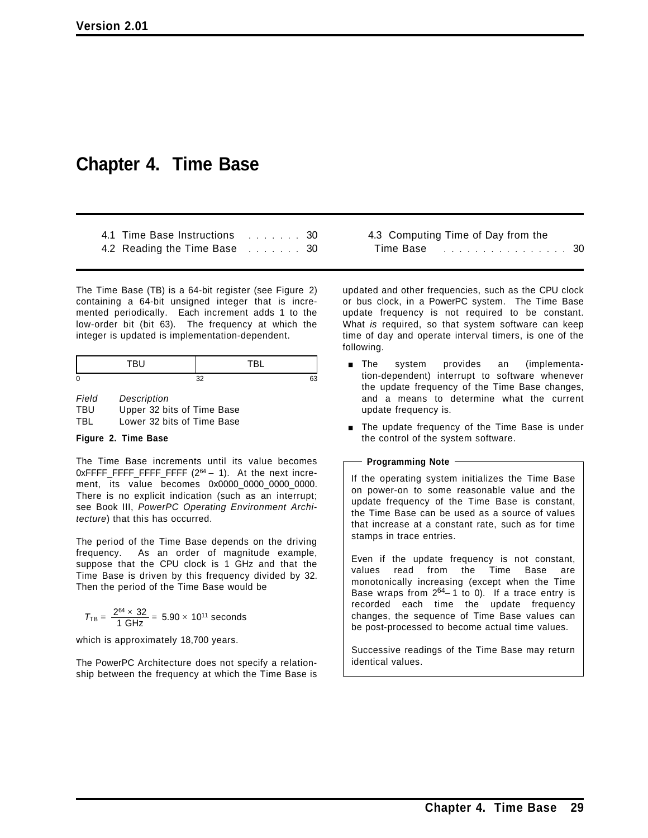# **Chapter 4. Time Base**

| 4.1 Time Base Instructions  30 |  |  |  |  |
|--------------------------------|--|--|--|--|
| 4.2 Reading the Time Base 30   |  |  |  |  |

The Time Base (TB) is a 64-bit register (see Figure 2) containing a 64-bit unsigned integer that is incremented periodically. Each increment adds 1 to the low-order bit (bit 63). The frequency at which the integer is updated is implementation-dependent.

*Field Description* TBU Upper 32 bits of Time Base TBL Lower 32 bits of Time Base

### **Figure 2. Time Base**

The Time Base increments until its value becomes  $0x$ FFFF\_FFFF\_FFFF\_FFFF  $(2^{64} - 1)$ . At the next increment, its value becomes 0x0000\_0000\_0000\_0000. There is no explicit indication (such as an interrupt; see Book III, *PowerPC Operating Environment Architecture*) that this has occurred.

The period of the Time Base depends on the driving frequency. As an order of magnitude example, suppose that the CPU clock is 1 GHz and that the Time Base is driven by this frequency divided by 32. Then the period of the Time Base would be

$$
T_{TB} = \, \frac{2^{64} \times \, 32}{1 \, \, GHz} = \, 5.90 \times \, 10^{11} \, \, seconds
$$

which is approximately 18,700 years.

The PowerPC Architecture does not specify a relationship between the frequency at which the Time Base is 4.3 Computing Time of Day from the Time Base **..........................**30

updated and other frequencies, such as the CPU clock or bus clock, in a PowerPC system. The Time Base update frequency is not required to be constant. What *is* required, so that system software can keep time of day and operate interval timers, is one of the following.

- **n** The system provides an (implementation-dependent) interrupt to software whenever the update frequency of the Time Base changes, and a means to determine what the current update frequency is.
- **The update frequency of the Time Base is under** the control of the system software.

### **Programming Note**

If the operating system initializes the Time Base on power-on to some reasonable value and the update frequency of the Time Base is constant, the Time Base can be used as a source of values that increase at a constant rate, such as for time stamps in trace entries.

Even if the update frequency is not constant, values read from the Time Base are monotonically increasing (except when the Time Base wraps from  $2^{64}$ -1 to 0). If a trace entry is recorded each time the update frequency changes, the sequence of Time Base values can be post-processed to become actual time values.

Successive readings of the Time Base may return identical values.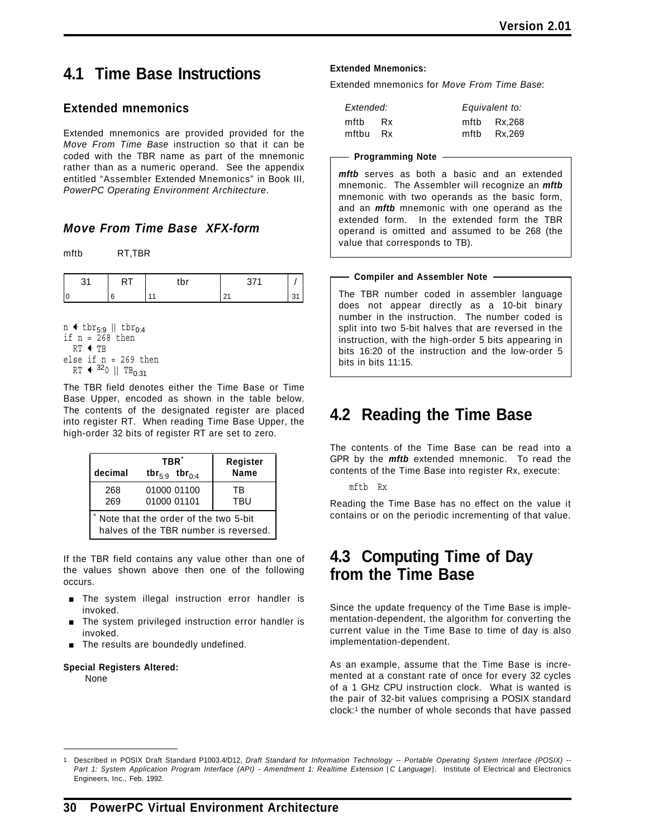# **4.1 Time Base Instructions**

### **Extended mnemonics**

Extended mnemonics are provided provided for the *Move From Time Base* instruction so that it can be coded with the TBR name as part of the mnemonic rather than as a numeric operand. See the appendix entitled "Assembler Extended Mnemonics" in Book III, *PowerPC Operating Environment Architecture*.

### *Move From Time Base XFX-form*

mftb RT,TBR

| . . | ٠.<br>$\ddot{\phantom{0}}$ |  |
|-----|----------------------------|--|
|     |                            |  |

n  $\triangleleft$  tbr<sub>5:9</sub> || tbr<sub>0:4</sub> if  $n = 268$  then  $RT + TB$ else if n = 269 then  $RT$   $\leftarrow$  320 || TB<sub>0:31</sub>

The TBR field denotes either the Time Base or Time Base Upper, encoded as shown in the table below. The contents of the designated register are placed into register RT. When reading Time Base Upper, the high-order 32 bits of register RT are set to zero.

| decimal                                                                       | TBR <sup>*</sup><br>tbr <sub>5:9</sub> tbr <sub>0:4</sub> | Register<br>Name |  |  |  |
|-------------------------------------------------------------------------------|-----------------------------------------------------------|------------------|--|--|--|
| 268<br>269                                                                    | 01000 01100<br>01000 01101                                | ТR<br>TBU        |  |  |  |
| Note that the order of the two 5-bit<br>halves of the TBR number is reversed. |                                                           |                  |  |  |  |

If the TBR field contains any value other than one of the values shown above then one of the following occurs.

- **The system illegal instruction error handler is** invoked.
- The system privileged instruction error handler is invoked.
- The results are boundedly undefined.

### **Special Registers Altered:**

None

### **Extended Mnemonics:**

Extended mnemonics for *Move From Time Base*:

| Extended: |           | Equivalent to: |
|-----------|-----------|----------------|
| mftb      | <b>Rx</b> | mftb Rx,268    |
| mftbu     | Rx        | mftb Rx,269    |

#### **Programming Note**

*mftb* serves as both a basic and an extended mnemonic. The Assembler will recognize an *mftb* mnemonic with two operands as the basic form, and an *mftb* mnemonic with one operand as the extended form. In the extended form the TBR operand is omitted and assumed to be 268 (the value that corresponds to TB).

### **Compiler and Assembler Note**

The TBR number coded in assembler language does not appear directly as a 10-bit binary number in the instruction. The number coded is split into two 5-bit halves that are reversed in the instruction, with the high-order 5 bits appearing in bits 16:20 of the instruction and the low-order 5 bits in bits 11:15.

# **4.2 Reading the Time Base**

The contents of the Time Base can be read into a GPR by the *mftb* extended mnemonic. To read the contents of the Time Base into register Rx, execute:

mftb Rx

Reading the Time Base has no effect on the value it contains or on the periodic incrementing of that value.

## **4.3 Computing Time of Day from the Time Base**

Since the update frequency of the Time Base is implementation-dependent, the algorithm for converting the current value in the Time Base to time of day is also implementation-dependent.

As an example, assume that the Time Base is incremented at a constant rate of once for every 32 cycles of a 1 GHz CPU instruction clock. What is wanted is the pair of 32-bit values comprising a POSIX standard clock:1 the number of whole seconds that have passed

<sup>1</sup> Described in POSIX Draft Standard P1003.4/D12, *Draft Standard for Information Technology -- Portable Operating System Interface (POSIX) -- Part 1: System Application Program Interface (API) - Amendment 1: Realtime Extension* [*C Language*]. Institute of Electrical and Electronics Engineers, Inc., Feb. 1992.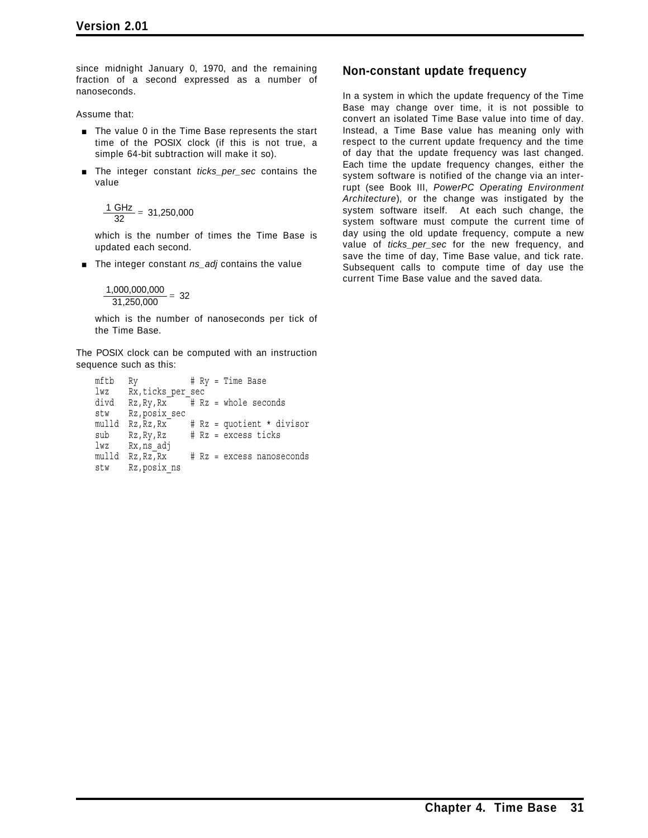since midnight January 0, 1970, and the remaining fraction of a second expressed as a number of nanoseconds.

Assume that:

- **The value 0 in the Time Base represents the start** time of the POSIX clock (if this is not true, a simple 64-bit subtraction will make it so).
- [ The integer constant *ticks\_per\_sec* contains the value

$$
\frac{1 \text{ GHz}}{32} = 31,250,000
$$

which is the number of times the Time Base is updated each second.

■ The integer constant *ns\_adj* contains the value

$$
\frac{1,000,000,000}{31,250,000} = 32
$$

which is the number of nanoseconds per tick of the Time Base.

The POSIX clock can be computed with an instruction sequence such as this:

```
mftb Ry # Ry = Time Base
lwz Rx,ticks_per_sec
divd Rz, Ry, Rx \overline{t} Rz = whole seconds
stw Rz,posix_sec
mulld Rz, Rz, Rx^{+} # Rz = quotient * divisorsub Rz,Ry,Rz # Rz = excess ticks
lwz Rx,ns_adj<br>mulld Rz,Rz,Rx
                   # Rz = excess nanoseconds
stw Rz,posix_ns
```
### **Non-constant update frequency**

In a system in which the update frequency of the Time Base may change over time, it is not possible to convert an isolated Time Base value into time of day. Instead, a Time Base value has meaning only with respect to the current update frequency and the time of day that the update frequency was last changed. Each time the update frequency changes, either the system software is notified of the change via an interrupt (see Book III, *PowerPC Operating Environment Architecture*), or the change was instigated by the system software itself. At each such change, the system software must compute the current time of day using the old update frequency, compute a new value of *ticks\_per\_sec* for the new frequency, and save the time of day, Time Base value, and tick rate. Subsequent calls to compute time of day use the current Time Base value and the saved data.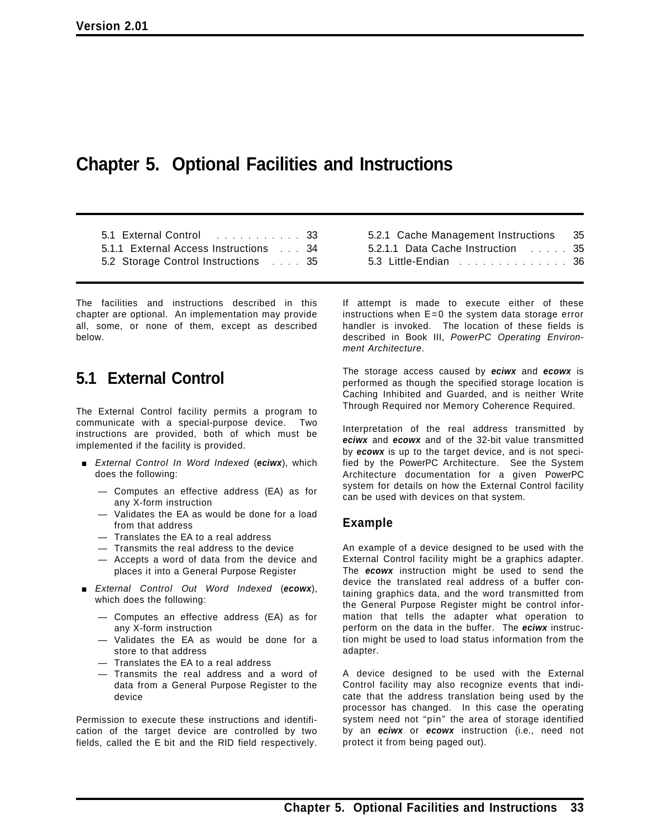# **Chapter 5. Optional Facilities and Instructions**

5.1 External Control ........... 33 5.1.1 External Access Instructions ... 34 5.2 Storage Control Instructions .... 35

The facilities and instructions described in this chapter are optional. An implementation may provide all, some, or none of them, except as described below.

## **5.1 External Control**

The External Control facility permits a program to communicate with a special-purpose device. Two instructions are provided, both of which must be implemented if the facility is provided.

- [ *External Control In Word Indexed* (*eciwx*), which does the following:
	- Computes an effective address (EA) as for any X-form instruction
	- Validates the EA as would be done for a load from that address
	- Translates the EA to a real address
	- Transmits the real address to the device
	- Accepts a word of data from the device and places it into a General Purpose Register
- [ *External Control Out Word Indexed* (*ecowx*), which does the following:
	- Computes an effective address (EA) as for any X-form instruction
	- Validates the EA as would be done for a store to that address
	- Translates the EA to a real address
	- Transmits the real address and a word of data from a General Purpose Register to the device

Permission to execute these instructions and identification of the target device are controlled by two fields, called the E bit and the RID field respectively.

| 5.2.1 Cache Management Instructions 35 |  |
|----------------------------------------|--|
| 5.2.1.1 Data Cache Instruction 35      |  |
| 5.3 Little-Endian 36                   |  |

If attempt is made to execute either of these instructions when  $E=0$  the system data storage error handler is invoked. The location of these fields is described in Book III, *PowerPC Operating Environment Architecture*.

The storage access caused by *eciwx* and *ecowx* is performed as though the specified storage location is Caching Inhibited and Guarded, and is neither Write Through Required nor Memory Coherence Required.

Interpretation of the real address transmitted by *eciwx* and *ecowx* and of the 32-bit value transmitted by *ecowx* is up to the target device, and is not specified by the PowerPC Architecture. See the System Architecture documentation for a given PowerPC system for details on how the External Control facility can be used with devices on that system.

### **Example**

An example of a device designed to be used with the External Control facility might be a graphics adapter. The *ecowx* instruction might be used to send the device the translated real address of a buffer containing graphics data, and the word transmitted from the General Purpose Register might be control information that tells the adapter what operation to perform on the data in the buffer. The *eciwx* instruction might be used to load status information from the adapter.

A device designed to be used with the External Control facility may also recognize events that indicate that the address translation being used by the processor has changed. In this case the operating system need not "pin" the area of storage identified by an *eciwx* or *ecowx* instruction (i.e., need not protect it from being paged out).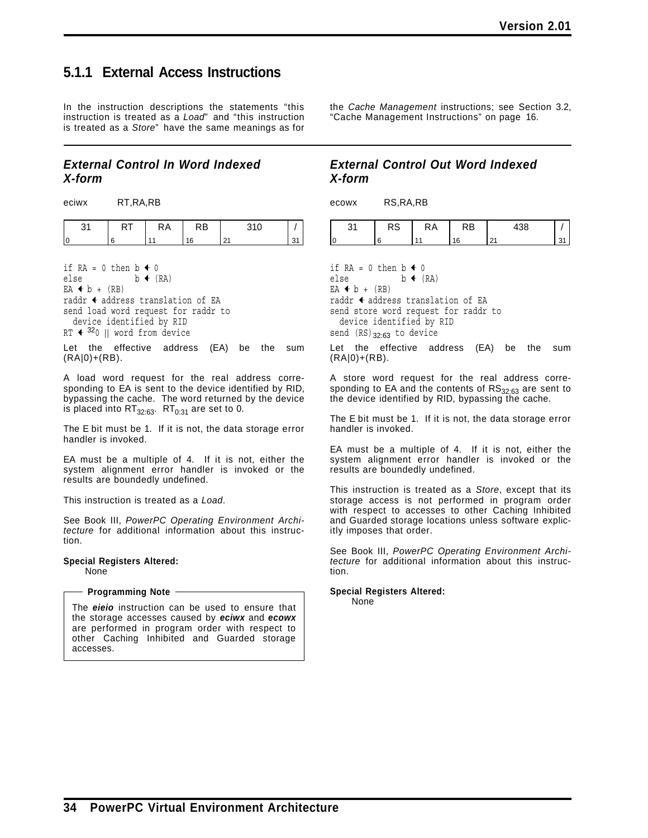## **5.1.1 External Access Instructions**

In the instruction descriptions the statements "this instruction is treated as a *Load*" and "this instruction is treated as a *Store*" have the same meanings as for

### *External Control In Word Indexed X-form*

eciwx RT,RA,RB

|   | היו | $\overline{\phantom{0}}$ |  |
|---|-----|--------------------------|--|
| и |     |                          |  |

if  $RA = 0$  then  $b \triangleleft 0$ else  $b \leftarrow (RA)$  $EA + b + (RB)$ raddr  $\triangleleft$  address translation of EA send load word request for raddr to device identified by RID RT  $\leftarrow$  320 || word from device

Let the effective address (EA) be the sum  $(RA|0)+(RB)$ .

A load word request for the real address corresponding to EA is sent to the device identified by RID, bypassing the cache. The word returned by the device is placed into  $RT_{32:63}$ .  $RT_{0:31}$  are set to 0.

The E bit must be 1. If it is not, the data storage error handler is invoked.

EA must be a multiple of 4. If it is not, either the system alignment error handler is invoked or the results are boundedly undefined.

This instruction is treated as a *Load*.

See Book III, *PowerPC Operating Environment Architecture* for additional information about this instruction.

**Special Registers Altered:** None

### **Programming Note**

The *eieio* instruction can be used to ensure that the storage accesses caused by *eciwx* and *ecowx* are performed in program order with respect to other Caching Inhibited and Guarded storage accesses.

the *Cache Management* instructions; see Section 3.2, "Cache Management Instructions" on page 16.

### *External Control Out Word Indexed X-form*

ecowx RS,RA,RB

|  | $\lambda$ n | . ND |  |
|--|-------------|------|--|
|  |             |      |  |

if  $RA = 0$  then  $b \triangleleft 0$ else  $b \leftarrow (RA)$  $EA + b + (RB)$ raddr  $\triangleleft$  address translation of EA send store word request for raddr to device identified by RID send  $(RS)_{32:63}$  to device

Let the effective address (EA) be the sum (RA|0)+(RB).

A store word request for the real address corresponding to EA and the contents of  $RS_{32:63}$  are sent to the device identified by RID, bypassing the cache.

The E bit must be 1. If it is not, the data storage error handler is invoked.

EA must be a multiple of 4. If it is not, either the system alignment error handler is invoked or the results are boundedly undefined.

This instruction is treated as a *Store*, except that its storage access is not performed in program order with respect to accesses to other Caching Inhibited and Guarded storage locations unless software explicitly imposes that order.

See Book III, *PowerPC Operating Environment Architecture* for additional information about this instruction.

**Special Registers Altered:**

None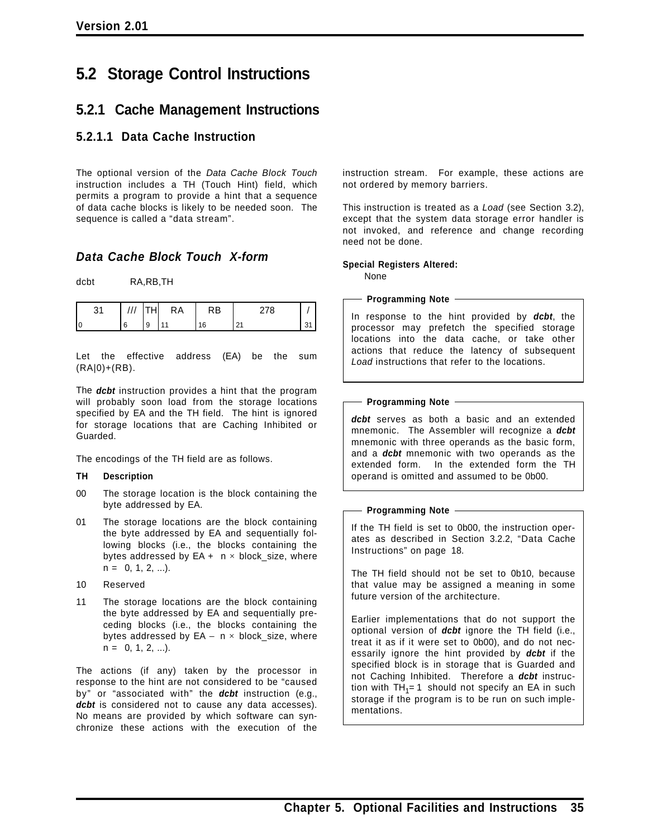# **5.2 Storage Control Instructions**

### **5.2.1 Cache Management Instructions**

### **5.2.1.1 Data Cache Instruction**

The optional version of the *Data Cache Block Touch* instruction includes a TH (Touch Hint) field, which permits a program to provide a hint that a sequence of data cache blocks is likely to be needed soon. The sequence is called a "data stream".

### *Data Cache Block Touch X-form*

dcbt RA,RB,TH

|    |   | КA | ⋌B | - 1 |  |
|----|---|----|----|-----|--|
| 10 | 9 |    |    |     |  |

Let the effective address (EA) be the sum (RA|0)+(RB).

The *dcbt* instruction provides a hint that the program will probably soon load from the storage locations specified by EA and the TH field. The hint is ignored for storage locations that are Caching Inhibited or Guarded.

The encodings of the TH field are as follows.

### **TH Description**

- 00 The storage location is the block containing the byte addressed by EA.
- 01 The storage locations are the block containing the byte addressed by EA and sequentially following blocks (i.e., the blocks containing the bytes addressed by  $EA + n \times block_size$ , where  $n = 0, 1, 2, ...$ ).
- 10 Reserved
- 11 The storage locations are the block containing the byte addressed by EA and sequentially preceding blocks (i.e., the blocks containing the bytes addressed by  $EA - n \times block_size$ , where  $n = 0, 1, 2, ...$ ).

The actions (if any) taken by the processor in response to the hint are not considered to be "caused by" or "associated with" the *dcbt* instruction (e.g., dcbt is considered not to cause any data accesses). No means are provided by which software can synchronize these actions with the execution of the

instruction stream. For example, these actions are not ordered by memory barriers.

This instruction is treated as a *Load* (see Section 3.2), except that the system data storage error handler is not invoked, and reference and change recording need not be done.

#### **Special Registers Altered:** None

### **Programming Note**

In response to the hint provided by *dcbt*, the processor may prefetch the specified storage locations into the data cache, or take other actions that reduce the latency of subsequent *Load* instructions that refer to the locations.

### - Programming Note -

*dcbt* serves as both a basic and an extended mnemonic. The Assembler will recognize a *dcbt* mnemonic with three operands as the basic form, and a *dcbt* mnemonic with two operands as the extended form. In the extended form the TH operand is omitted and assumed to be 0b00.

### **Programming Note**

If the TH field is set to 0b00, the instruction operates as described in Section 3.2.2, "Data Cache Instructions" on page 18.

The TH field should not be set to 0b10, because that value may be assigned a meaning in some future version of the architecture.

Earlier implementations that do not support the optional version of *dcbt* ignore the TH field (i.e., treat it as if it were set to 0b00), and do not necessarily ignore the hint provided by *dcbt* if the specified block is in storage that is Guarded and not Caching Inhibited. Therefore a *dcbt* instruction with  $TH_1 = 1$  should not specify an EA in such storage if the program is to be run on such implementations.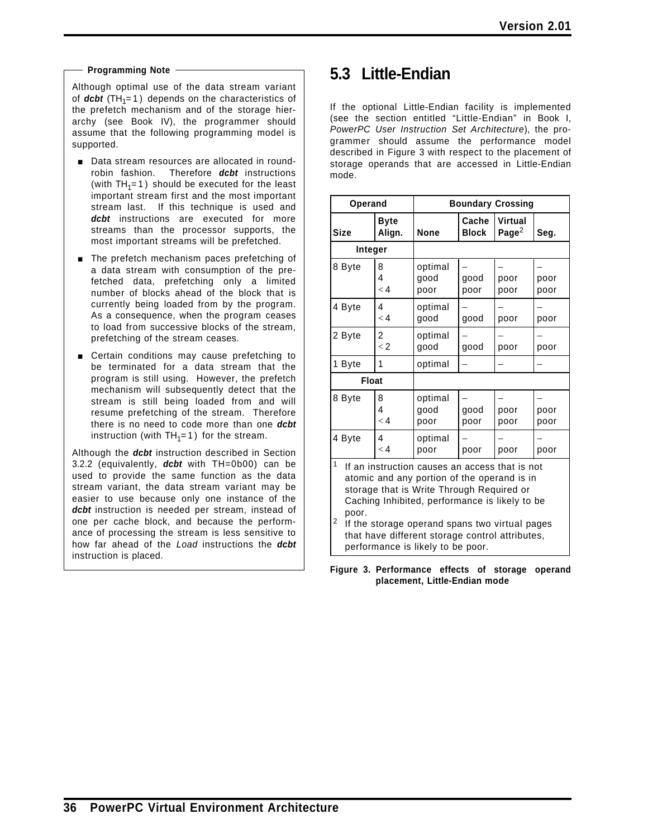### **Programming Note**

Although optimal use of the data stream variant of  $dcbt$  (TH<sub>1</sub>=1) depends on the characteristics of the prefetch mechanism and of the storage hierarchy (see Book IV), the programmer should assume that the following programming model is supported.

- **Data stream resources are allocated in round**robin fashion. Therefore *dcbt* instructions (with  $TH_1=1$ ) should be executed for the least important stream first and the most important stream last. If this technique is used and *dcbt* instructions are executed for more streams than the processor supports, the most important streams will be prefetched.
- $\blacksquare$  The prefetch mechanism paces prefetching of a data stream with consumption of the prefetched data, prefetching only a limited number of blocks ahead of the block that is currently being loaded from by the program. As a consequence, when the program ceases to load from successive blocks of the stream, prefetching of the stream ceases.
- **EXEC** Certain conditions may cause prefetching to be terminated for a data stream that the program is still using. However, the prefetch mechanism will subsequently detect that the stream is still being loaded from and will resume prefetching of the stream. Therefore there is no need to code more than one *dcbt* instruction (with  $TH_1=1$ ) for the stream.

Although the *dcbt* instruction described in Section 3.2.2 (equivalently, *dcbt* with TH=0b00) can be used to provide the same function as the data stream variant, the data stream variant may be easier to use because only one instance of the dcbt instruction is needed per stream, instead of one per cache block, and because the performance of processing the stream is less sensitive to how far ahead of the *Load* instructions the *dcbt* instruction is placed.

# **5.3 Little-Endian**

If the optional Little-Endian facility is implemented (see the section entitled "Little-Endian" in Book I, *PowerPC User Instruction Set Architecture*), the programmer should assume the performance model described in Figure 3 with respect to the placement of storage operands that are accessed in Little-Endian mode.

| Operand                                                                                                                                                                                                                                                                                                                                                              |                       | <b>Boundary Crossing</b> |                       |                              |              |
|----------------------------------------------------------------------------------------------------------------------------------------------------------------------------------------------------------------------------------------------------------------------------------------------------------------------------------------------------------------------|-----------------------|--------------------------|-----------------------|------------------------------|--------------|
| <b>Size</b>                                                                                                                                                                                                                                                                                                                                                          | <b>Byte</b><br>Align. | <b>None</b>              | Cache<br><b>Block</b> | Virtual<br>Page <sup>2</sup> | Seq.         |
| Integer                                                                                                                                                                                                                                                                                                                                                              |                       |                          |                       |                              |              |
| 8 Byte                                                                                                                                                                                                                                                                                                                                                               | 8<br>4<br>< 4         | optimal<br>good<br>poor  | good<br>poor          | poor<br>poor                 | poor<br>poor |
| 4 Byte                                                                                                                                                                                                                                                                                                                                                               | 4<br>$\lt 4$          | optimal<br>good          | good                  | poor                         | poor         |
| 2 Byte                                                                                                                                                                                                                                                                                                                                                               | 2<br>$\lt 2$          | optimal<br>good          | good                  | poor                         | poor         |
| 1 Byte                                                                                                                                                                                                                                                                                                                                                               | 1                     | optimal                  |                       |                              |              |
| <b>Float</b>                                                                                                                                                                                                                                                                                                                                                         |                       |                          |                       |                              |              |
| 8 Byte                                                                                                                                                                                                                                                                                                                                                               | 8<br>4<br>$\lt 4$     | optimal<br>good<br>poor  | good<br>poor          | poor<br>poor                 | poor<br>poor |
| 4 Byte                                                                                                                                                                                                                                                                                                                                                               | 4<br>$\lt 4$          | optimal<br>poor          | poor                  | poor                         | poor         |
| $\mathbf{1}$<br>If an instruction causes an access that is not<br>atomic and any portion of the operand is in<br>storage that is Write Through Required or<br>Caching Inhibited, performance is likely to be<br>poor.<br>2<br>If the storage operand spans two virtual pages<br>that have different storage control attributes,<br>performance is likely to be poor. |                       |                          |                       |                              |              |

**Figure 3. Performance effects of storage operand placement, Little-Endian mode**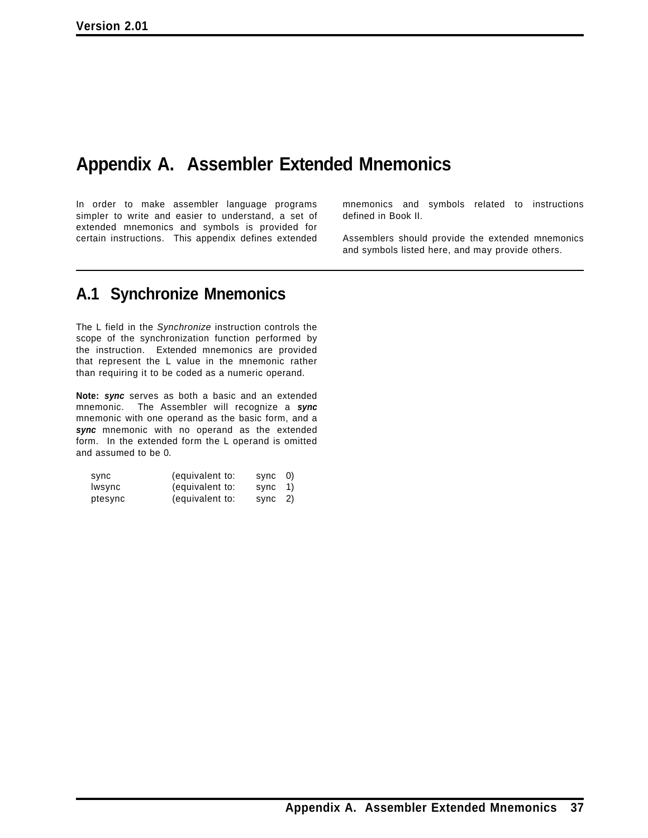# **Appendix A. Assembler Extended Mnemonics**

In order to make assembler language programs simpler to write and easier to understand, a set of extended mnemonics and symbols is provided for certain instructions. This appendix defines extended mnemonics and symbols related to instructions defined in Book II.

Assemblers should provide the extended mnemonics and symbols listed here, and may provide others.

# **A.1 Synchronize Mnemonics**

The L field in the *Synchronize* instruction controls the scope of the synchronization function performed by the instruction. Extended mnemonics are provided that represent the L value in the mnemonic rather than requiring it to be coded as a numeric operand.

**Note:** *sync* serves as both a basic and an extended mnemonic. The Assembler will recognize a *sync* mnemonic with one operand as the basic form, and a *sync* mnemonic with no operand as the extended form. In the extended form the L operand is omitted and assumed to be 0.

| sync    | (equivalent to: | sync    | $\left( 0\right)$ |
|---------|-----------------|---------|-------------------|
| lwsync  | (equivalent to: | sync 1) |                   |
| ptesync | (equivalent to: | sync    | 2)                |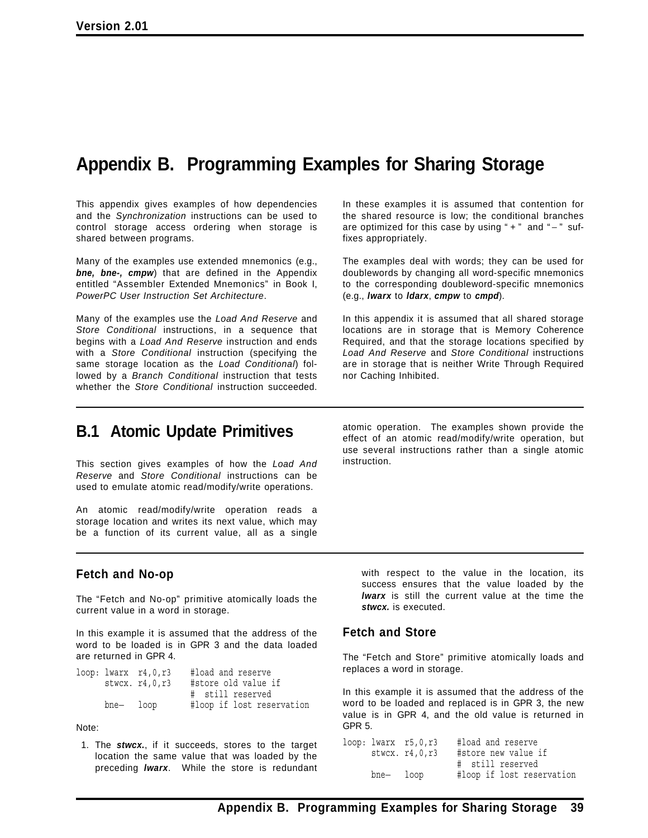# **Appendix B. Programming Examples for Sharing Storage**

This appendix gives examples of how dependencies and the *Synchronization* instructions can be used to control storage access ordering when storage is shared between programs.

Many of the examples use extended mnemonics (e.g., *bne, bne-, cmpw*) that are defined in the Appendix entitled "Assembler Extended Mnemonics" in Book I, *PowerPC User Instruction Set Architecture*.

Many of the examples use the *Load And Reserve* and *Store Conditional* instructions, in a sequence that begins with a *Load And Reserve* instruction and ends with a *Store Conditional* instruction (specifying the same storage location as the *Load Conditional*) followed by a *Branch Conditional* instruction that tests whether the *Store Conditional* instruction succeeded.

In these examples it is assumed that contention for the shared resource is low; the conditional branches are optimized for this case by using " + " and " - " suffixes appropriately.

The examples deal with words; they can be used for doublewords by changing all word-specific mnemonics to the corresponding doubleword-specific mnemonics (e.g., *lwarx* to *ldarx*, *cmpw* to *cmpd*).

In this appendix it is assumed that all shared storage locations are in storage that is Memory Coherence Required, and that the storage locations specified by *Load And Reserve* and *Store Conditional* instructions are in storage that is neither Write Through Required nor Caching Inhibited.

## **B.1 Atomic Update Primitives**

This section gives examples of how the *Load And Reserve* and *Store Conditional* instructions can be used to emulate atomic read/modify/write operations.

An atomic read/modify/write operation reads a storage location and writes its next value, which may be a function of its current value, all as a single

atomic operation. The examples shown provide the effect of an atomic read/modify/write operation, but use several instructions rather than a single atomic instruction.

### **Fetch and No-op**

The "Fetch and No-op" primitive atomically loads the current value in a word in storage.

In this example it is assumed that the address of the word to be loaded is in GPR 3 and the data loaded are returned in GPR 4.

|           | $loop: lwarx$ $r4,0,r3$ | #load and reserve         |
|-----------|-------------------------|---------------------------|
|           | stwcx. r4, 0, r3        | #store old value if       |
|           |                         | # still reserved          |
| bne— loop |                         | #loop if lost reservation |

Note:

1. The *stwcx.*, if it succeeds, stores to the target location the same value that was loaded by the preceding *lwarx*. While the store is redundant

with respect to the value in the location, its success ensures that the value loaded by the *lwarx* is still the current value at the time the *stwcx.* is executed.

### **Fetch and Store**

The "Fetch and Store" primitive atomically loads and replaces a word in storage.

In this example it is assumed that the address of the word to be loaded and replaced is in GPR 3, the new value is in GPR 4, and the old value is returned in GPR 5.

|           | $loop: lwarx$ $r5,0,r3$<br>stwcx. r4, 0, r3 | #load and reserve<br>#store new value if |  |  |
|-----------|---------------------------------------------|------------------------------------------|--|--|
|           |                                             | # still reserved                         |  |  |
| bne- loop |                                             | #loop if lost reservation                |  |  |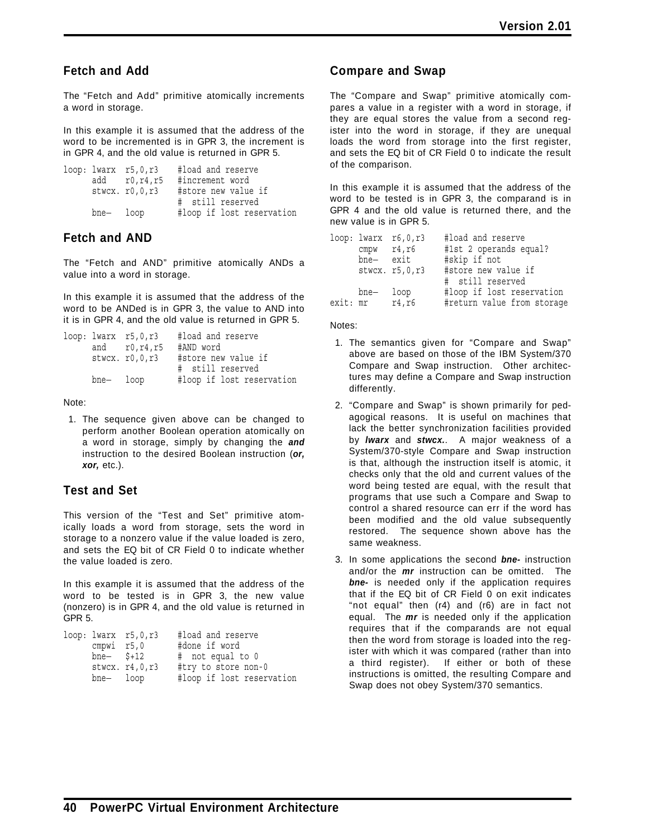### **Fetch and Add**

The "Fetch and Add" primitive atomically increments a word in storage.

In this example it is assumed that the address of the word to be incremented is in GPR 3, the increment is in GPR 4, and the old value is returned in GPR 5.

```
loop: lwarx r5,0,r3 #load and reserve
     add r0,r4,r5 #increment word
     stwcx. r0,0,r3 #store new value if
                     # still reserved
     bne− loop #loop if lost reservation
```
### **Fetch and AND**

The "Fetch and AND" primitive atomically ANDs a value into a word in storage.

In this example it is assumed that the address of the word to be ANDed is in GPR 3, the value to AND into it is in GPR 4, and the old value is returned in GPR 5.

|           | $loop: lwarz$ $r5, 0, r3$ | #load and reserve         |
|-----------|---------------------------|---------------------------|
|           | and $r0, r4, r5$          | #AND word                 |
|           | stwcx. r0, 0, r3          | #store new value if       |
|           |                           | # still reserved          |
| bne- loop |                           | #loop if lost reservation |

Note:

1. The sequence given above can be changed to perform another Boolean operation atomically on a word in storage, simply by changing the *and* instruction to the desired Boolean instruction (*or, xor,* etc.).

### **Test and Set**

This version of the "Test and Set" primitive atomically loads a word from storage, sets the word in storage to a nonzero value if the value loaded is zero, and sets the EQ bit of CR Field 0 to indicate whether the value loaded is zero.

In this example it is assumed that the address of the word to be tested is in GPR 3, the new value (nonzero) is in GPR 4, and the old value is returned in GPR 5.

| # not equal to 0          |
|---------------------------|
| #try to store non-0       |
| #loop if lost reservation |
|                           |

### **Compare and Swap**

The "Compare and Swap" primitive atomically compares a value in a register with a word in storage, if they are equal stores the value from a second register into the word in storage, if they are unequal loads the word from storage into the first register, and sets the EQ bit of CR Field 0 to indicate the result of the comparison.

In this example it is assumed that the address of the word to be tested is in GPR 3, the comparand is in GPR 4 and the old value is returned there, and the new value is in GPR 5.

| bne- exit       | $loop: lwarx$ $r6, 0, r3$<br>$cmpw$ $r4, r6$ | #load and reserve<br>#1st 2 operands equal? |
|-----------------|----------------------------------------------|---------------------------------------------|
|                 | stwcx. r5, 0, r3                             | #skip if not<br>#store new value if         |
|                 |                                              | # still reserved                            |
| bne— loop       |                                              | #loop if lost reservation                   |
| exit: mr r4, r6 |                                              | #return value from storage                  |

Notes:

- 1. The semantics given for "Compare and Swap" above are based on those of the IBM System/370 Compare and Swap instruction. Other architectures may define a Compare and Swap instruction differently.
- 2. "Compare and Swap" is shown primarily for pedagogical reasons. It is useful on machines that lack the better synchronization facilities provided by *lwarx* and *stwcx.*. A major weakness of a System/370-style Compare and Swap instruction is that, although the instruction itself is atomic, it checks only that the old and current values of the word being tested are equal, with the result that programs that use such a Compare and Swap to control a shared resource can err if the word has been modified and the old value subsequently restored. The sequence shown above has the same weakness.
- 3. In some applications the second *bne-* instruction and/or the *mr* instruction can be omitted. The *bne-* is needed only if the application requires that if the EQ bit of CR Field 0 on exit indicates "not equal" then (r4) and (r6) are in fact not equal. The *mr* is needed only if the application requires that if the comparands are not equal then the word from storage is loaded into the register with which it was compared (rather than into a third register). If either or both of these instructions is omitted, the resulting Compare and Swap does not obey System/370 semantics.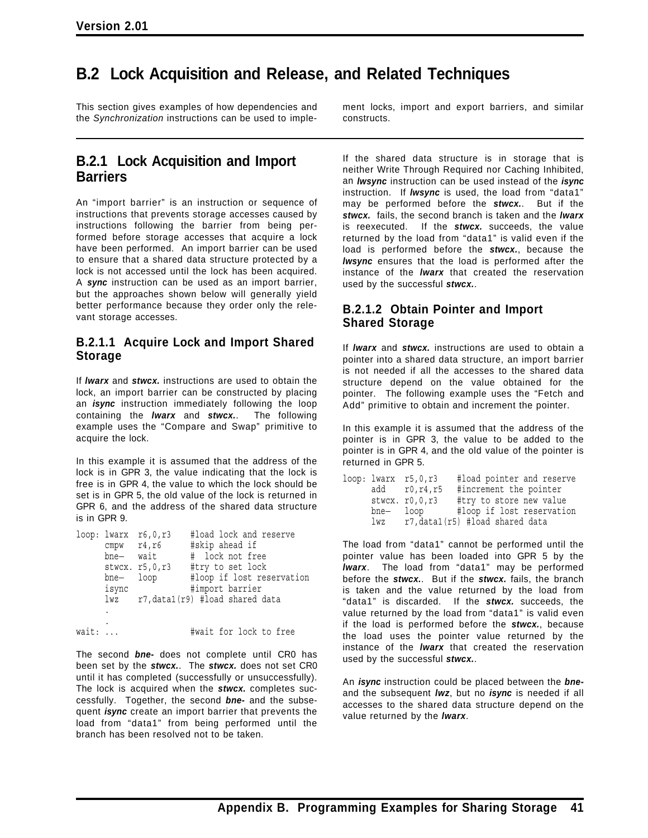# **B.2 Lock Acquisition and Release, and Related Techniques**

This section gives examples of how dependencies and the *Synchronization* instructions can be used to imple-

### **B.2.1 Lock Acquisition and Import Barriers**

An "import barrier" is an instruction or sequence of instructions that prevents storage accesses caused by instructions following the barrier from being performed before storage accesses that acquire a lock have been performed. An import barrier can be used to ensure that a shared data structure protected by a lock is not accessed until the lock has been acquired. A *sync* instruction can be used as an import barrier, but the approaches shown below will generally yield better performance because they order only the relevant storage accesses.

### **B.2.1.1 Acquire Lock and Import Shared Storage**

If *lwarx* and *stwcx.* instructions are used to obtain the lock, an import barrier can be constructed by placing an *isync* instruction immediately following the loop containing the *lwarx* and *stwcx.*. The following example uses the "Compare and Swap" primitive to acquire the lock.

In this example it is assumed that the address of the lock is in GPR 3, the value indicating that the lock is free is in GPR 4, the value to which the lock should be set is in GPR 5, the old value of the lock is returned in GPR 6, and the address of the shared data structure is in GPR 9.

|       |       | $loop: lwarx$ $r6,0,r3$ | #load lock and reserve          |
|-------|-------|-------------------------|---------------------------------|
|       |       | $cmpw$ $r4, r6$         | #skip ahead if                  |
|       | bne—  | wait                    | # lock not free                 |
|       |       | stwcx. r5, 0, r3        | #try to set lock                |
|       | bne—  | loop                    | #loop if lost reservation       |
|       | isync |                         | #import barrier                 |
|       | lwz   |                         | r7, data1(r9) #load shared data |
|       | ٠     |                         |                                 |
|       |       |                         |                                 |
| wait: |       |                         | #wait for lock to free          |

The second *bne-* does not complete until CR0 has been set by the *stwcx.*. The *stwcx.* does not set CR0 until it has completed (successfully or unsuccessfully). The lock is acquired when the *stwcx.* completes successfully. Together, the second *bne-* and the subsequent *isync* create an import barrier that prevents the load from "data1" from being performed until the branch has been resolved not to be taken.

ment locks, import and export barriers, and similar constructs.

If the shared data structure is in storage that is neither Write Through Required nor Caching Inhibited, an *lwsync* instruction can be used instead of the *isync* instruction. If *lwsync* is used, the load from "data1" may be performed before the *stwcx.*. But if the *stwcx.* fails, the second branch is taken and the *lwarx* is reexecuted. If the *stwcx.* succeeds, the value returned by the load from "data1" is valid even if the load is performed before the *stwcx.*, because the *lwsync* ensures that the load is performed after the instance of the *lwarx* that created the reservation used by the successful *stwcx.*.

### **B.2.1.2 Obtain Pointer and Import Shared Storage**

If *lwarx* and *stwcx.* instructions are used to obtain a pointer into a shared data structure, an import barrier is not needed if all the accesses to the shared data structure depend on the value obtained for the pointer. The following example uses the "Fetch and Add" primitive to obtain and increment the pointer.

In this example it is assumed that the address of the pointer is in GPR 3, the value to be added to the pointer is in GPR 4, and the old value of the pointer is returned in GPR 5.

|                 | $loop: lwarx$ $r5, 0, r3$ | #load pointer and reserve      |
|-----------------|---------------------------|--------------------------------|
|                 | $add$ $r0, r4, r5$        | #increment the pointer         |
|                 | stwcx. r0, 0, r3          | #try to store new value        |
|                 | bne— loop                 | #loop if lost reservation      |
| $\frac{1}{2}wz$ |                           | r7,data1(r5) #load shared data |

The load from "data1" cannot be performed until the pointer value has been loaded into GPR 5 by the *lwarx*. The load from "data1" may be performed before the *stwcx.*. But if the *stwcx.* fails, the branch is taken and the value returned by the load from "data1" is discarded. If the *stwcx.* succeeds, the value returned by the load from "data1" is valid even if the load is performed before the *stwcx.*, because the load uses the pointer value returned by the instance of the *lwarx* that created the reservation used by the successful *stwcx.*.

An *isync* instruction could be placed between the *bne*and the subsequent *lwz*, but no *isync* is needed if all accesses to the shared data structure depend on the value returned by the *lwarx*.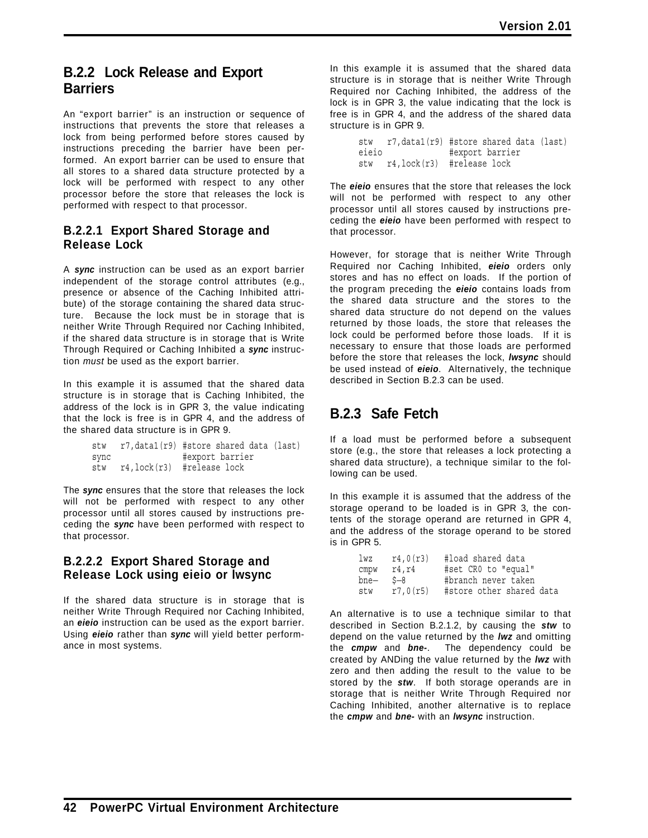### **B.2.2 Lock Release and Export Barriers**

An "export barrier" is an instruction or sequence of instructions that prevents the store that releases a lock from being performed before stores caused by instructions preceding the barrier have been performed. An export barrier can be used to ensure that all stores to a shared data structure protected by a lock will be performed with respect to any other processor before the store that releases the lock is performed with respect to that processor.

### **B.2.2.1 Export Shared Storage and Release Lock**

A *sync* instruction can be used as an export barrier independent of the storage control attributes (e.g., presence or absence of the Caching Inhibited attribute) of the storage containing the shared data structure. Because the lock must be in storage that is neither Write Through Required nor Caching Inhibited, if the shared data structure is in storage that is Write Through Required or Caching Inhibited a *sync* instruction *must* be used as the export barrier.

In this example it is assumed that the shared data structure is in storage that is Caching Inhibited, the address of the lock is in GPR 3, the value indicating that the lock is free is in GPR 4, and the address of the shared data structure is in GPR 9.

| stw  | r7, data1(r9) #store shared data (last) |  |
|------|-----------------------------------------|--|
| sync | #export barrier                         |  |
| stw  | r4, lock(r3) #release lock              |  |

The *sync* ensures that the store that releases the lock will not be performed with respect to any other processor until all stores caused by instructions preceding the *sync* have been performed with respect to that processor.

### **B.2.2.2 Export Shared Storage and Release Lock using eieio or lwsync**

If the shared data structure is in storage that is neither Write Through Required nor Caching Inhibited, an *eieio* instruction can be used as the export barrier. Using *eieio* rather than *sync* will yield better performance in most systems.

In this example it is assumed that the shared data structure is in storage that is neither Write Through Required nor Caching Inhibited, the address of the lock is in GPR 3, the value indicating that the lock is free is in GPR 4, and the address of the shared data structure is in GPR 9.

```
stw r7,data1(r9) #store shared data (last)
eieio #export barrier
stw r4,lock(r3) #release lock
```
The *eieio* ensures that the store that releases the lock will not be performed with respect to any other processor until all stores caused by instructions preceding the *eieio* have been performed with respect to that processor.

However, for storage that is neither Write Through Required nor Caching Inhibited, *eieio* orders only stores and has no effect on loads. If the portion of the program preceding the *eieio* contains loads from the shared data structure and the stores to the shared data structure do not depend on the values returned by those loads, the store that releases the lock could be performed before those loads. If it is necessary to ensure that those loads are performed before the store that releases the lock, *lwsync* should be used instead of *eieio*. Alternatively, the technique described in Section B.2.3 can be used.

## **B.2.3 Safe Fetch**

If a load must be performed before a subsequent store (e.g., the store that releases a lock protecting a shared data structure), a technique similar to the following can be used.

In this example it is assumed that the address of the storage operand to be loaded is in GPR 3, the contents of the storage operand are returned in GPR 4, and the address of the storage operand to be stored is in GPR 5.

| lwz  | r4,0(r3) | #load shared data        |
|------|----------|--------------------------|
| cmpw | r4,r4    | #set CRO to "equal"      |
| bne— | $S-8$    | #branch never taken      |
| stw  | r7,0(r5) | #store other shared data |

An alternative is to use a technique similar to that described in Section B.2.1.2, by causing the *stw* to depend on the value returned by the *lwz* and omitting the *cmpw* and *bne-*. The dependency could be created by ANDing the value returned by the *lwz* with zero and then adding the result to the value to be stored by the *stw*. If both storage operands are in storage that is neither Write Through Required nor Caching Inhibited, another alternative is to replace the *cmpw* and *bne-* with an *lwsync* instruction.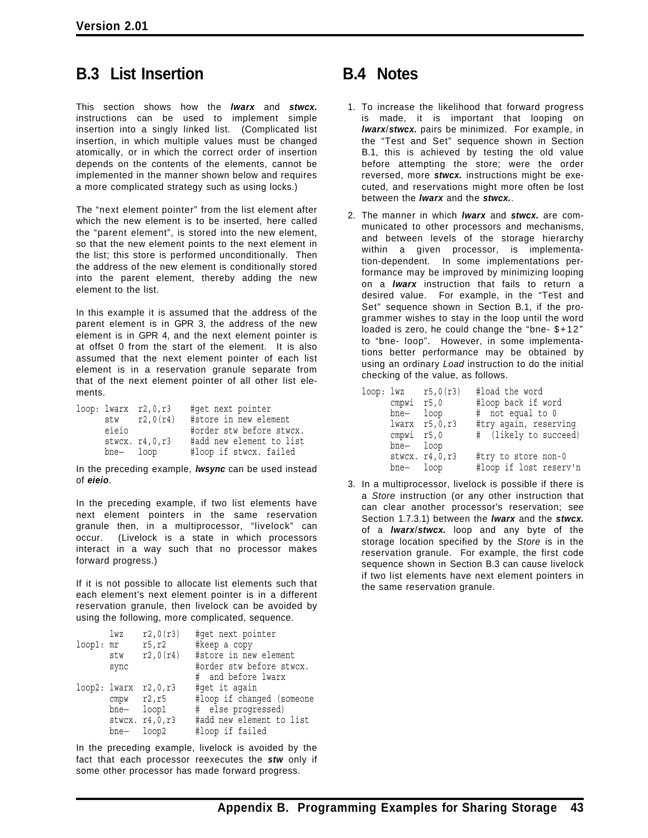# **B.3 List Insertion**

This section shows how the *lwarx* and *stwcx.* instructions can be used to implement simple insertion into a singly linked list. (Complicated list insertion, in which multiple values must be changed atomically, or in which the correct order of insertion depends on the contents of the elements, cannot be implemented in the manner shown below and requires a more complicated strategy such as using locks.)

The "next element pointer" from the list element after which the new element is to be inserted, here called the "parent element", is stored into the new element, so that the new element points to the next element in the list; this store is performed unconditionally. Then the address of the new element is conditionally stored into the parent element, thereby adding the new element to the list.

In this example it is assumed that the address of the parent element is in GPR 3, the address of the new element is in GPR 4, and the next element pointer is at offset 0 from the start of the element. It is also assumed that the next element pointer of each list element is in a reservation granule separate from that of the next element pointer of all other list elements.

|          | loop: lwarx  r2, 0, r3<br>$stw$ $r2,0(r4)$ | #get next pointer<br>#store in new element |
|----------|--------------------------------------------|--------------------------------------------|
| eieio    |                                            | #order stw before stwcx.                   |
|          | stwcx. r4, 0, r3                           | #add new element to list                   |
| bne-loop |                                            | #loop if stwcx. failed                     |

In the preceding example, *lwsync* can be used instead of *eieio*.

In the preceding example, if two list elements have next element pointers in the same reservation granule then, in a multiprocessor, "livelock" can occur. (Livelock is a state in which processors interact in a way such that no processor makes forward progress.)

If it is not possible to allocate list elements such that each element's next element pointer is in a different reservation granule, then livelock can be avoided by using the following, more complicated, sequence.

| #order stw before stwcx.  |
|---------------------------|
|                           |
|                           |
| #loop if changed (someone |
|                           |
| #add new element to list  |
|                           |
|                           |

In the preceding example, livelock is avoided by the fact that each processor reexecutes the *stw* only if some other processor has made forward progress.

# **B.4 Notes**

- 1. To increase the likelihood that forward progress is made, it is important that looping on *lwarx*/*stwcx.* pairs be minimized. For example, in the "Test and Set" sequence shown in Section B.1, this is achieved by testing the old value before attempting the store; were the order reversed, more *stwcx.* instructions might be executed, and reservations might more often be lost between the *lwarx* and the *stwcx.*.
- 2. The manner in which *lwarx* and *stwcx.* are communicated to other processors and mechanisms, and between levels of the storage hierarchy within a given processor, is implementation-dependent. In some implementations performance may be improved by minimizing looping on a *lwarx* instruction that fails to return a desired value. For example, in the "Test and Set" sequence shown in Section B.1, if the programmer wishes to stay in the loop until the word loaded is zero, he could change the "bne- \$+12 " to "bne- loop". However, in some implementations better performance may be obtained by using an ordinary *Load* instruction to do the initial checking of the value, as follows.

| loop: lwz |            | r5,0(r3)          | #load the word         |
|-----------|------------|-------------------|------------------------|
|           | cmpwi r5,0 |                   | #loop back if word     |
|           | bne—       | loop              | # not equal to 0       |
|           |            | $lwarx$ $r5,0,r3$ | #try again, reserving  |
|           | cmpwi r5,0 |                   | # (likely to succeed)  |
|           | bne-loop   |                   |                        |
|           |            | stwcx. r4, 0, r3  | #try to store non-0    |
|           | bne— loop  |                   | #loop if lost reserv'n |

3. In a multiprocessor, livelock is possible if there is a *Store* instruction (or any other instruction that can clear another processor's reservation; see Section 1.7.3.1) between the *lwarx* and the *stwcx.* of a *lwarx*/*stwcx.* loop and any byte of the storage location specified by the *Store* is in the reservation granule. For example, the first code sequence shown in Section B.3 can cause livelock if two list elements have next element pointers in the same reservation granule.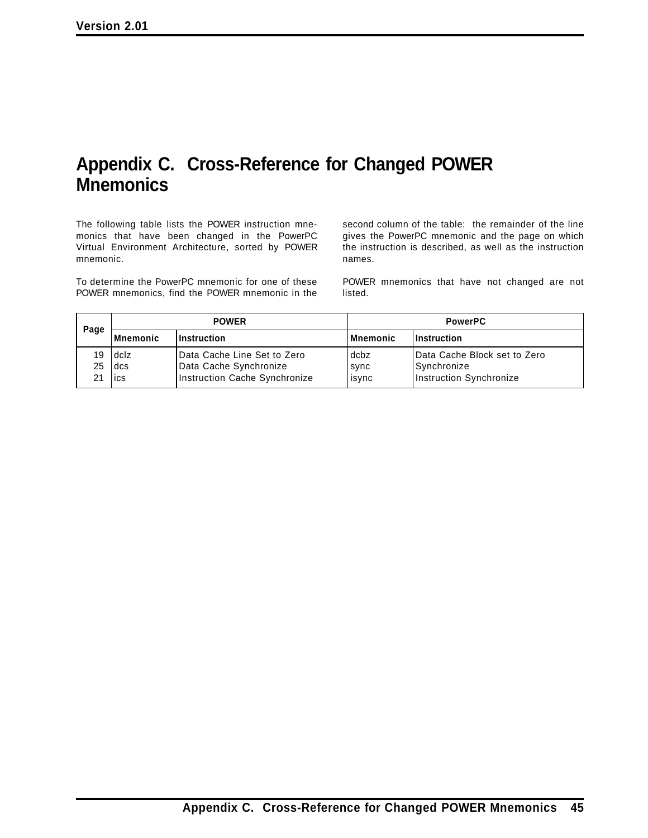# **Appendix C. Cross-Reference for Changed POWER Mnemonics**

The following table lists the POWER instruction mnemonics that have been changed in the PowerPC Virtual Environment Architecture, sorted by POWER mnemonic.

To determine the PowerPC mnemonic for one of these POWER mnemonics, find the POWER mnemonic in the second column of the table: the remainder of the line gives the PowerPC mnemonic and the page on which the instruction is described, as well as the instruction names.

POWER mnemonics that have not changed are not listed.

| Page | <b>POWER</b> |                               | <b>PowerPC</b> |                              |
|------|--------------|-------------------------------|----------------|------------------------------|
|      | Mnemonic     | <b>Instruction</b>            | Mnemonic       | <b>Instruction</b>           |
| 19   | l dclz       | l Data Cache Line Set to Zero | dcbz           | Data Cache Block set to Zero |
| 25   | l dcs        | Data Cache Synchronize        | sync           | Synchronize                  |
| 21   | lics         | Instruction Cache Synchronize | isync          | Instruction Synchronize      |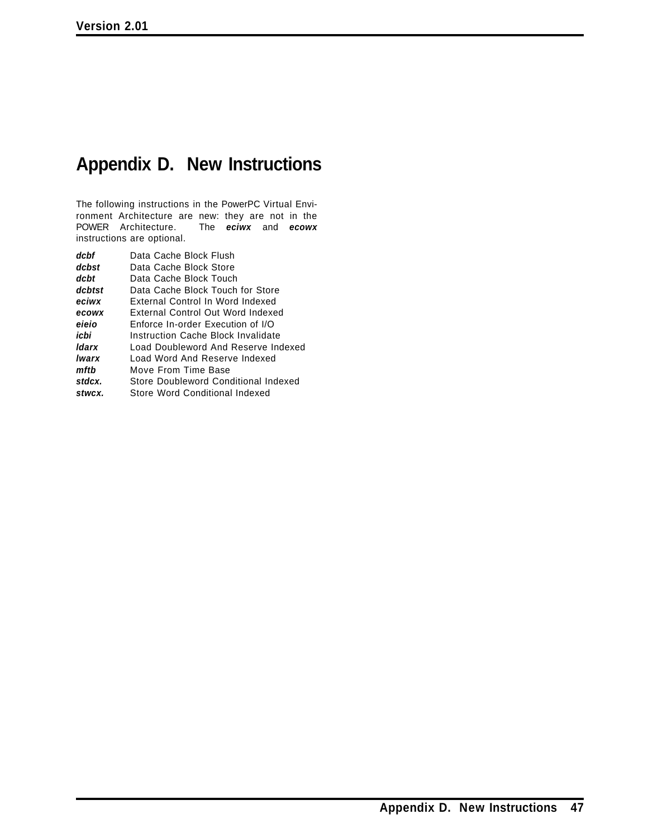# **Appendix D. New Instructions**

The following instructions in the PowerPC Virtual Environment Architecture are new: they are not in the POWER Architecture. The **eciwx** and **ecowx** The *eciwx* and *ecowx* instructions are optional.

| Data Cache Block Flush               |  |  |  |  |
|--------------------------------------|--|--|--|--|
| Data Cache Block Store               |  |  |  |  |
| Data Cache Block Touch               |  |  |  |  |
| Data Cache Block Touch for Store     |  |  |  |  |
| External Control In Word Indexed     |  |  |  |  |
| External Control Out Word Indexed    |  |  |  |  |
| Enforce In-order Execution of I/O    |  |  |  |  |
| Instruction Cache Block Invalidate   |  |  |  |  |
| Load Doubleword And Reserve Indexed  |  |  |  |  |
| Load Word And Reserve Indexed        |  |  |  |  |
| Move From Time Base                  |  |  |  |  |
| Store Doubleword Conditional Indexed |  |  |  |  |
| Store Word Conditional Indexed       |  |  |  |  |
|                                      |  |  |  |  |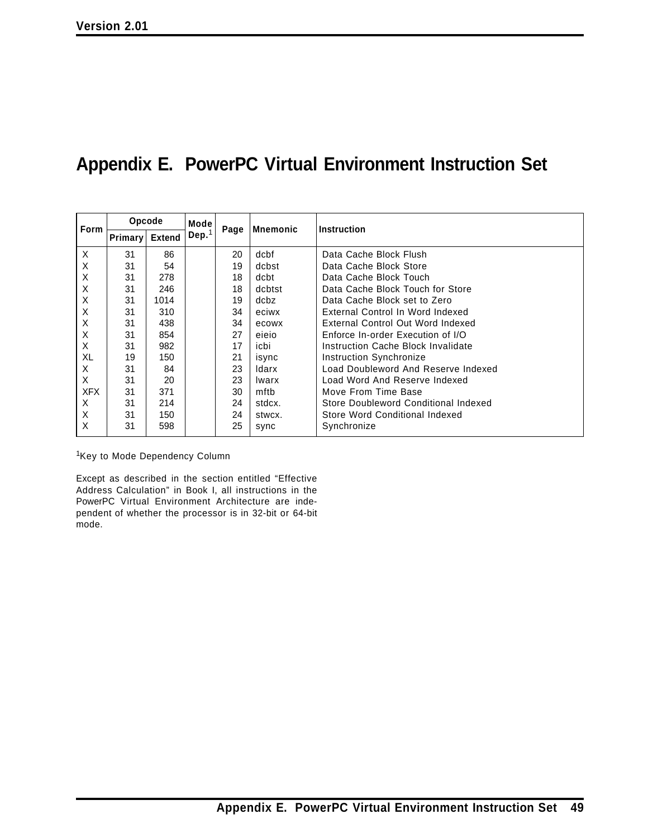# **Appendix E. PowerPC Virtual Environment Instruction Set**

| <b>Form</b> | Opcode  |               | Mode     | Mnemonic | Instruction |                                      |
|-------------|---------|---------------|----------|----------|-------------|--------------------------------------|
|             | Primary | <b>Extend</b> | Dep. $1$ | Page     |             |                                      |
| X           | 31      | 86            |          | 20       | dcbf        | Data Cache Block Flush               |
| X           | 31      | 54            |          | 19       | dcbst       | Data Cache Block Store               |
| Х           | 31      | 278           |          | 18       | dcbt        | Data Cache Block Touch               |
| Х           | 31      | 246           |          | 18       | dcbtst      | Data Cache Block Touch for Store     |
| X           | 31      | 1014          |          | 19       | dcbz        | Data Cache Block set to Zero         |
| X           | 31      | 310           |          | 34       | eciwx       | External Control In Word Indexed     |
| X           | 31      | 438           |          | 34       | ecowx       | External Control Out Word Indexed    |
| X           | 31      | 854           |          | 27       | eieio       | Enforce In-order Execution of I/O    |
| X           | 31      | 982           |          | 17       | icbi        | Instruction Cache Block Invalidate   |
| XL          | 19      | 150           |          | 21       | isync       | Instruction Synchronize              |
| X           | 31      | 84            |          | 23       | Idarx       | Load Doubleword And Reserve Indexed  |
| X           | 31      | 20            |          | 23       | Iwarx       | Load Word And Reserve Indexed        |
| <b>XFX</b>  | 31      | 371           |          | 30       | mftb        | Move From Time Base                  |
| X           | 31      | 214           |          | 24       | stdcx.      | Store Doubleword Conditional Indexed |
| X           | 31      | 150           |          | 24       | stwcx.      | Store Word Conditional Indexed       |
| X           | 31      | 598           |          | 25       | sync        | Synchronize                          |

1Key to Mode Dependency Column

Except as described in the section entitled "Effective Address Calculation" in Book I, all instructions in the PowerPC Virtual Environment Architecture are independent of whether the processor is in 32-bit or 64-bit mode.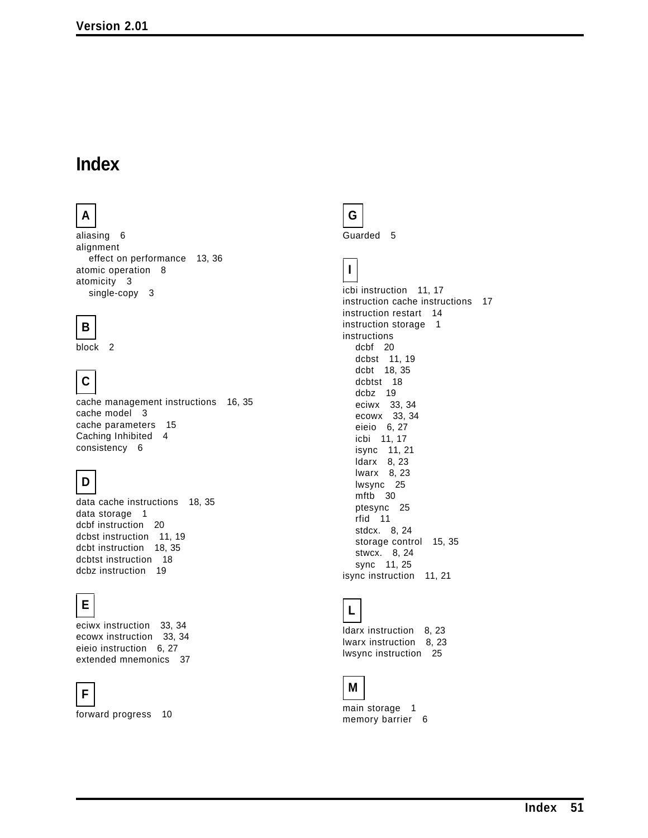# **Index**

# **A**

aliasing 6 alignment effect on performance 13, 36 atomic operation 8 atomicity 3 single-copy 3

# **B**

block 2

# **C**

cache management instructions 16, 35 cache model 3 cache parameters 15 Caching Inhibited 4 consistency 6

# **D**

data cache instructions 18, 35 data storage 1 dcbf instruction 20 dcbst instruction 11, 19 dcbt instruction 18, 35 dcbtst instruction 18 dcbz instruction 19

# **E**

eciwx instruction 33, 34 ecowx instruction 33, 34 eieio instruction 6, 27 extended mnemonics 37

# **F**

forward progress 10



Guarded 5



icbi instruction 11, 17 instruction cache instructions 17 instruction restart 14 instruction storage 1 instructions dcbf 20 dcbst 11, 19 dcbt 18, 35 dcbtst 18 dcbz 19 eciwx 33, 34 ecowx 33, 34 eieio 6, 27 icbi 11, 17 isync 11, 21 ldarx 8, 23 lwarx 8, 23 lwsync 25 mftb 30 ptesync 25 rfid 11 stdcx. 8, 24 storage control 15, 35 stwcx. 8, 24 sync 11, 25 isync instruction 11, 21



ldarx instruction 8, 23 lwarx instruction 8, 23 lwsync instruction 25



main storage 1 memory barrier 6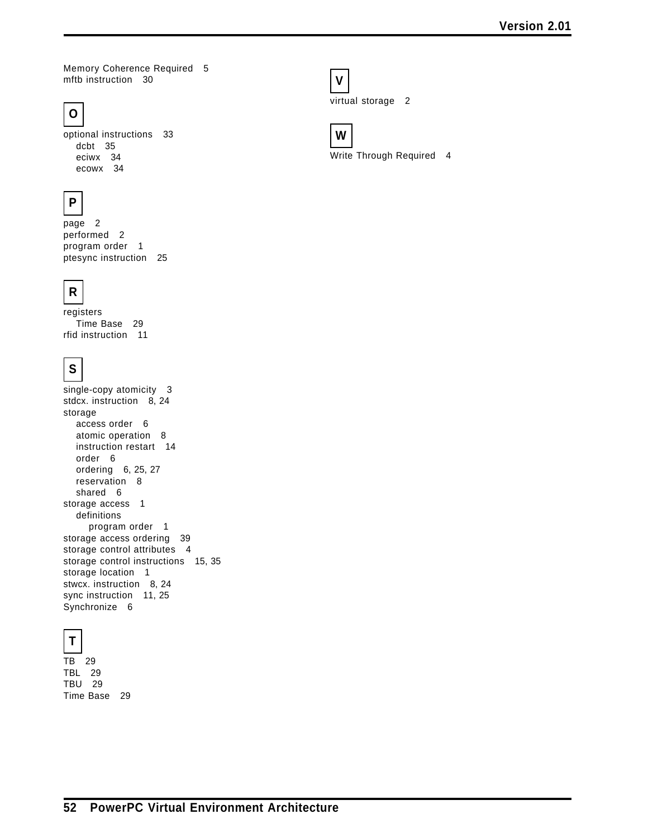Memory Coherence Required 5 mftb instruction 30

# **O**

optional instructions 33 dcbt 35 eciwx 34 ecowx 34

# **P**

page 2 performed 2 program order 1 ptesync instruction 25



registers Time Base 29 rfid instruction 11

# **S**

single-copy atomicity 3 stdcx. instruction 8, 24 storage access order 6 atomic operation 8 instruction restart 14 order 6 ordering 6, 25, 27 reservation 8 shared 6 storage access 1 definitions program order 1 storage access ordering 39 storage control attributes 4 storage control instructions 15, 35 storage location 1 stwcx. instruction 8, 24 sync instruction 11, 25 Synchronize 6



TB 29 TBL 29 TBU 29 Time Base 29



virtual storage 2



Write Through Required 4